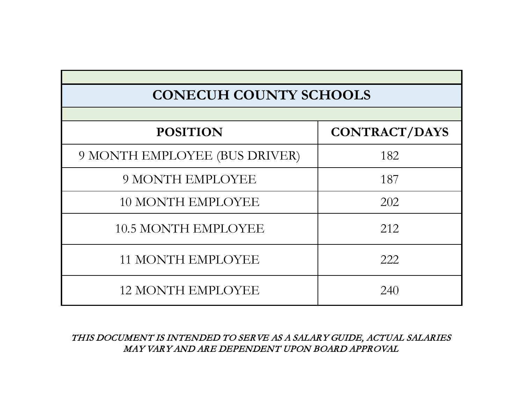# **CONECUH COUNTY SCHOOLS**

| <b>POSITION</b>               | <b>CONTRACT/DAYS</b> |
|-------------------------------|----------------------|
| 9 MONTH EMPLOYEE (BUS DRIVER) | 182                  |
| <b>9 MONTH EMPLOYEE</b>       | 187                  |
| <b>10 MONTH EMPLOYEE</b>      | 202                  |
| <b>10.5 MONTH EMPLOYEE</b>    | 212                  |
| <b>11 MONTH EMPLOYEE</b>      | 222                  |
| <b>12 MONTH EMPLOYEE</b>      | 240                  |

THIS DOCUMENT IS INTENDED TO SERVE AS A SALARY GUIDE, ACTUAL SALARIES MAY VARY AND ARE DEPENDENT UPON BOARD APPROVAL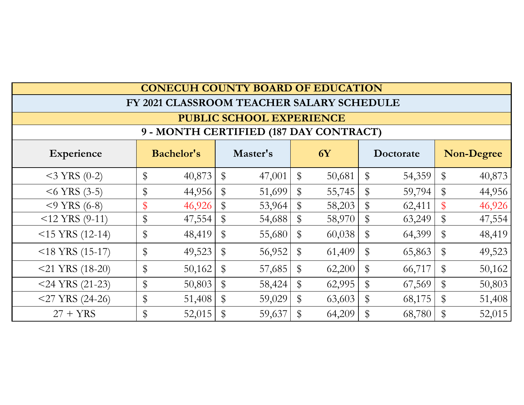| <b>CONECUH COUNTY BOARD OF EDUCATION</b>                                                   |    |        |       |                                           |       |        |       |        |       |        |
|--------------------------------------------------------------------------------------------|----|--------|-------|-------------------------------------------|-------|--------|-------|--------|-------|--------|
|                                                                                            |    |        |       | FY 2021 CLASSROOM TEACHER SALARY SCHEDULE |       |        |       |        |       |        |
| <b>PUBLIC SCHOOL EXPERIENCE</b>                                                            |    |        |       |                                           |       |        |       |        |       |        |
| 9 - MONTH CERTIFIED (187 DAY CONTRACT)                                                     |    |        |       |                                           |       |        |       |        |       |        |
| <b>Bachelor's</b><br>Master's<br><b>6Y</b><br><b>Non-Degree</b><br>Experience<br>Doctorate |    |        |       |                                           |       |        |       |        |       |        |
| $<$ 3 YRS (0-2)                                                                            | \$ | 40,873 | $\$\$ | 47,001                                    | $\$\$ | 50,681 | $\$\$ | 54,359 | \$    | 40,873 |
| $<$ 6 YRS (3-5)                                                                            | \$ | 44,956 | $\$\$ | 51,699                                    | $\$\$ | 55,745 | $\$\$ | 59,794 | $\$\$ | 44,956 |
| $<$ 9 YRS (6-8)                                                                            | \$ | 46,926 | $\$\$ | 53,964                                    | $\$\$ | 58,203 | $\$\$ | 62,411 |       | 46,926 |
| $<$ 12 YRS (9-11)                                                                          | \$ | 47,554 | $\$\$ | 54,688                                    | \$    | 58,970 | $\$\$ | 63,249 | \$    | 47,554 |
| $<$ 15 YRS (12-14)                                                                         | \$ | 48,419 | $\$\$ | 55,680                                    | $\$\$ | 60,038 | \$    | 64,399 | \$    | 48,419 |
| $<$ 18 YRS (15-17)                                                                         | \$ | 49,523 | $\$\$ | 56,952                                    | $\$\$ | 61,409 | \$    | 65,863 | \$    | 49,523 |
| $<$ 21 YRS (18-20)                                                                         | \$ | 50,162 | \$    | 57,685                                    | $\$\$ | 62,200 | \$    | 66,717 | \$    | 50,162 |
| $<$ 24 YRS (21-23)                                                                         | \$ | 50,803 | $\$\$ | 58,424                                    | $\$\$ | 62,995 | $\$\$ | 67,569 | \$    | 50,803 |
| $<$ 27 YRS (24-26)                                                                         | \$ | 51,408 | $\$\$ | 59,029                                    | $\$\$ | 63,603 | \$    | 68,175 | \$    | 51,408 |
| $27 + YRS$                                                                                 | \$ | 52,015 | $\$\$ | 59,637                                    | \$    | 64,209 | \$    | 68,780 |       | 52,015 |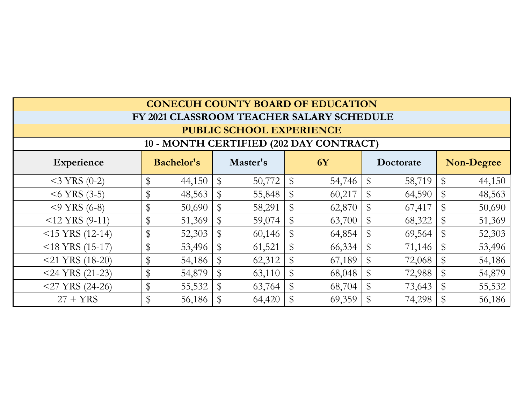| <b>CONECUH COUNTY BOARD OF EDUCATION</b> |       |                   |       |          |    |                                           |              |           |                           |                   |
|------------------------------------------|-------|-------------------|-------|----------|----|-------------------------------------------|--------------|-----------|---------------------------|-------------------|
|                                          |       |                   |       |          |    | FY 2021 CLASSROOM TEACHER SALARY SCHEDULE |              |           |                           |                   |
| <b>PUBLIC SCHOOL EXPERIENCE</b>          |       |                   |       |          |    |                                           |              |           |                           |                   |
| 10 - MONTH CERTIFIED (202 DAY CONTRACT)  |       |                   |       |          |    |                                           |              |           |                           |                   |
| Experience                               |       | <b>Bachelor's</b> |       | Master's |    | <b>6Y</b>                                 |              | Doctorate |                           | <b>Non-Degree</b> |
| $<$ 3 YRS (0-2)                          | \$    | 44,150            | \$    | 50,772   | \$ | 54,746                                    | $\$\$        | 58,719    | \$                        | 44,150            |
| $<$ 6 YRS (3-5)                          | \$    | 48,563            | $\$\$ | 55,848   | \$ | 60,217                                    | $\mathbb{S}$ | 64,590    | $\mathbb{S}$              | 48,563            |
| $<$ 9 YRS (6-8)                          | \$    | 50,690            | \$    | 58,291   | \$ | 62,870                                    |              | 67,417    | $\mathbb{S}$              | 50,690            |
| $<$ 12 YRS (9-11)                        | \$    | 51,369            | \$    | 59,074   | \$ | 63,700                                    | $\$\$        | 68,322    | \$                        | 51,369            |
| $<$ 15 YRS (12-14)                       | \$    | 52,303            | $\$\$ | 60,146   | \$ | 64,854                                    |              | 69,564    | $\$\,$                    | 52,303            |
| $<$ 18 YRS (15-17)                       | \$    | 53,496            | \$    | 61,521   | \$ | 66,334                                    |              | 71,146    | $\boldsymbol{\mathsf{S}}$ | 53,496            |
| $<$ 21 YRS (18-20)                       | \$    | 54,186            | \$    | 62,312   | \$ | 67,189                                    |              | 72,068    | \$                        | 54,186            |
| $<$ 24 YRS (21-23)                       | \$    | 54,879            | \$    | 63,110   | \$ | 68,048                                    |              | 72,988    | \$                        | 54,879            |
| $<$ 27 YRS (24-26)                       | \$    | 55,532            | $\$\$ | 63,764   | \$ | 68,704                                    | $\$\$        | 73,643    | $\mathfrak{P}$            | 55,532            |
| $27 + YRS$                               | $\$\$ | 56,186            | \$    | 64,420   | \$ | 69,359                                    |              | 74,298    |                           | 56,186            |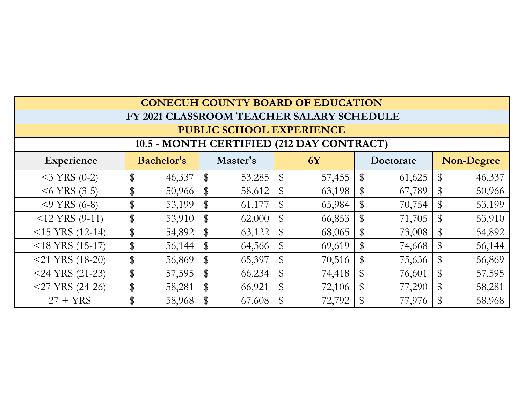| <b>CONECUH COUNTY BOARD OF EDUCATION</b>                                                          |                                           |        |                            |        |              |        |              |        |              |        |
|---------------------------------------------------------------------------------------------------|-------------------------------------------|--------|----------------------------|--------|--------------|--------|--------------|--------|--------------|--------|
|                                                                                                   | FY 2021 CLASSROOM TEACHER SALARY SCHEDULE |        |                            |        |              |        |              |        |              |        |
| <b>PUBLIC SCHOOL EXPERIENCE</b>                                                                   |                                           |        |                            |        |              |        |              |        |              |        |
| 10.5 - MONTH CERTIFIED (212 DAY CONTRACT)                                                         |                                           |        |                            |        |              |        |              |        |              |        |
| <b>Bachelor's</b><br>Master's<br><b>6Y</b><br><b>Non-Degree</b><br>Doctorate<br><b>Experience</b> |                                           |        |                            |        |              |        |              |        |              |        |
| $<$ 3 YRS (0-2)                                                                                   | \$                                        | 46,337 | $\mathbb{S}$               | 53,285 | $\$\$        | 57,455 | \$           | 61,625 | $\$\$        | 46,337 |
| $<$ 6 YRS (3-5)                                                                                   | \$                                        | 50,966 | $\$\$                      | 58,612 |              | 63,198 | \$           | 67,789 |              | 50,966 |
| $<$ 9 YRS (6-8)                                                                                   | \$                                        | 53,199 | $\$\$                      | 61,177 | $\mathbb{S}$ | 65,984 | \$           | 70,754 | $\mathbb{S}$ | 53,199 |
| $<12$ YRS (9-11)                                                                                  | \$                                        | 53,910 | \$                         | 62,000 |              | 66,853 | \$           | 71,705 |              | 53,910 |
| $<$ 15 YRS (12-14)                                                                                | \$                                        | 54,892 | \$                         | 63,122 | $\mathbb S$  | 68,065 | $\$\$        | 73,008 | $\mathbb S$  | 54,892 |
| $<$ 18 YRS (15-17)                                                                                | \$                                        | 56,144 | $\$\$                      | 64,566 |              | 69,619 | $\mathbb{S}$ | 74,668 | $\mathbb{S}$ | 56,144 |
| $<$ 21 YRS (18-20)                                                                                | \$                                        | 56,869 | $\boldsymbol{\mathsf{\$}}$ | 65,397 | $\mathbb{S}$ | 70,516 | \$           | 75,636 |              | 56,869 |
| $<$ 24 YRS (21-23)                                                                                | \$                                        | 57,595 | \$                         | 66,234 | $\mathbb S$  | 74,418 | $\mathbb{S}$ | 76,601 | $\mathbb{S}$ | 57,595 |
| $<$ 27 YRS (24-26)                                                                                | \$                                        | 58,281 | \$                         | 66,921 |              | 72,106 | \$           | 77,290 |              | 58,281 |
| $27 + YRS$                                                                                        | \$                                        | 58,968 |                            | 67,608 |              | 72,792 |              | 77,976 |              | 58,968 |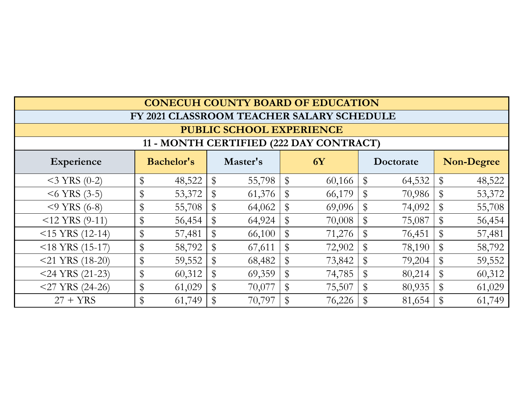| <b>CONECUH COUNTY BOARD OF EDUCATION</b>                                                   |    |        |       |        |              |                                           |              |        |              |        |
|--------------------------------------------------------------------------------------------|----|--------|-------|--------|--------------|-------------------------------------------|--------------|--------|--------------|--------|
|                                                                                            |    |        |       |        |              | FY 2021 CLASSROOM TEACHER SALARY SCHEDULE |              |        |              |        |
| <b>PUBLIC SCHOOL EXPERIENCE</b>                                                            |    |        |       |        |              |                                           |              |        |              |        |
| 11 - MONTH CERTIFIED (222 DAY CONTRACT)                                                    |    |        |       |        |              |                                           |              |        |              |        |
| <b>Bachelor's</b><br>Master's<br><b>6Y</b><br><b>Non-Degree</b><br>Experience<br>Doctorate |    |        |       |        |              |                                           |              |        |              |        |
| $<$ 3 YRS (0-2)                                                                            | \$ | 48,522 | \$    | 55,798 | $\$\$        | 60,166                                    | \$           | 64,532 | $\$\$        | 48,522 |
| $<$ 6 YRS (3-5)                                                                            | \$ | 53,372 | \$    | 61,376 | $\$\$        | 66,179                                    | \$           | 70,986 | $\mathbb{S}$ | 53,372 |
| $<$ 9 YRS (6-8)                                                                            | \$ | 55,708 | \$    | 64,062 |              | 69,096                                    | \$           | 74,092 |              | 55,708 |
| $<$ 12 YRS (9-11)                                                                          | \$ | 56,454 | \$    | 64,924 | \$           | 70,008                                    | \$           | 75,087 | $\$\$        | 56,454 |
| $<$ 15 YRS (12-14)                                                                         | \$ | 57,481 | $\$\$ | 66,100 | \$           | 71,276                                    | $\mathbb{S}$ | 76,451 | $\$\$        | 57,481 |
| $<$ 18 YRS (15-17)                                                                         | \$ | 58,792 | \$    | 67,611 | $\$\$        | 72,902                                    | \$           | 78,190 | \$           | 58,792 |
| $<$ 21 YRS (18-20)                                                                         | \$ | 59,552 | \$    | 68,482 | \$           | 73,842                                    | \$           | 79,204 | \$           | 59,552 |
| $<$ 24 YRS (21-23)                                                                         | \$ | 60,312 | \$    | 69,359 | $\$\$        | 74,785                                    | \$           | 80,214 | $\$\$        | 60,312 |
| $<$ 27 YRS (24-26)                                                                         | \$ | 61,029 | \$    | 70,077 | $\mathbb{S}$ | 75,507                                    | \$           | 80,935 | \$           | 61,029 |
| $27 + YRS$                                                                                 | \$ | 61,749 | \$    | 70,797 | \$           | 76,226                                    | \$           | 81,654 |              | 61,749 |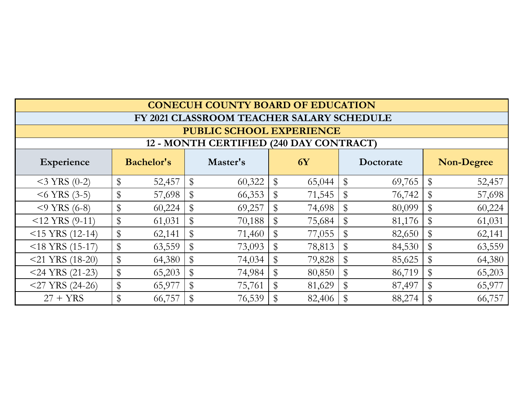| <b>CONECUH COUNTY BOARD OF EDUCATION</b>                                                   |    |        |       |                                           |             |        |                           |        |    |        |
|--------------------------------------------------------------------------------------------|----|--------|-------|-------------------------------------------|-------------|--------|---------------------------|--------|----|--------|
|                                                                                            |    |        |       | FY 2021 CLASSROOM TEACHER SALARY SCHEDULE |             |        |                           |        |    |        |
| <b>PUBLIC SCHOOL EXPERIENCE</b>                                                            |    |        |       |                                           |             |        |                           |        |    |        |
| 12 - MONTH CERTIFIED (240 DAY CONTRACT)                                                    |    |        |       |                                           |             |        |                           |        |    |        |
| <b>Bachelor's</b><br>Master's<br><b>6Y</b><br><b>Non-Degree</b><br>Experience<br>Doctorate |    |        |       |                                           |             |        |                           |        |    |        |
| $<$ 3 YRS (0-2)                                                                            | \$ | 52,457 | \$    | 60,322                                    | $\$\$       | 65,044 | $\boldsymbol{\mathsf{S}}$ | 69,765 | \$ | 52,457 |
| $<$ 6 YRS (3-5)                                                                            | \$ | 57,698 | $\$\$ | 66,353                                    | $\$\$       | 71,545 | $\$\$                     | 76,742 | \$ | 57,698 |
| $<$ 9 YRS (6-8)                                                                            | \$ | 60,224 | \$    | 69,257                                    |             | 74,698 | \$                        | 80,099 | \$ | 60,224 |
| $<$ 12 YRS (9-11)                                                                          | \$ | 61,031 | \$    | 70,188                                    | $\mathbb S$ | 75,684 | $\mathbb{S}$              | 81,176 | \$ | 61,031 |
| $<$ 15 YRS (12-14)                                                                         | \$ | 62,141 | $\$\$ | 71,460                                    |             | 77,055 | $\mathbb{S}$              | 82,650 | \$ | 62,141 |
| $<$ 18 YRS (15-17)                                                                         | \$ | 63,559 | $\$\$ | 73,093                                    | $\$\$       | 78,813 | \$                        | 84,530 | \$ | 63,559 |
| $<$ 21 YRS (18-20)                                                                         | \$ | 64,380 | \$    | 74,034                                    |             | 79,828 | $\$\$                     | 85,625 | \$ | 64,380 |
| $<$ 24 YRS (21-23)                                                                         | \$ | 65,203 | \$    | 74,984                                    |             | 80,850 | $\$\$                     | 86,719 | \$ | 65,203 |
| $<$ 27 YRS (24-26)                                                                         | \$ | 65,977 | \$    | 75,761                                    | $\$\$       | 81,629 | \$                        | 87,497 | \$ | 65,977 |
| $27 + YRS$                                                                                 | \$ | 66,757 | $\$\$ | 76,539                                    |             | 82,406 | \$                        | 88,274 | \$ | 66,757 |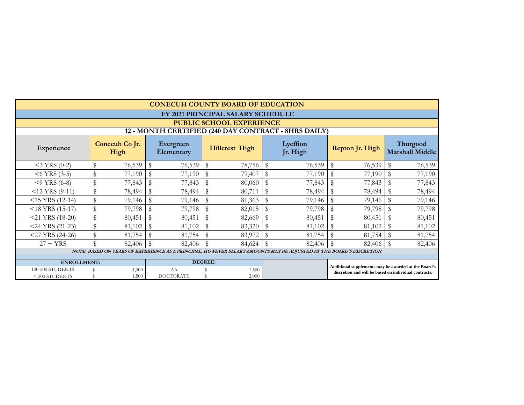|                                                      | <b>CONECUH COUNTY BOARD OF EDUCATION</b>                                                                            |        |    |                  |    |                                   |               |        |                 |        |                                                                                                               |        |  |  |
|------------------------------------------------------|---------------------------------------------------------------------------------------------------------------------|--------|----|------------------|----|-----------------------------------|---------------|--------|-----------------|--------|---------------------------------------------------------------------------------------------------------------|--------|--|--|
|                                                      |                                                                                                                     |        |    |                  |    | FY 2021 PRINCIPAL SALARY SCHEDULE |               |        |                 |        |                                                                                                               |        |  |  |
|                                                      | <b>PUBLIC SCHOOL EXPERIENCE</b>                                                                                     |        |    |                  |    |                                   |               |        |                 |        |                                                                                                               |        |  |  |
| 12 - MONTH CERTIFIED (240 DAY CONTRACT - 8HRS DAILY) |                                                                                                                     |        |    |                  |    |                                   |               |        |                 |        |                                                                                                               |        |  |  |
| Experience                                           | Conecuh Co Jr.<br>Lyeffion<br>Evergreen<br><b>Hillcrest High</b><br>Jr. High<br>High<br>Elementary                  |        |    |                  |    |                                   |               |        | Repton Jr. High |        | Thurgood<br><b>Marshall Middle</b>                                                                            |        |  |  |
| $<$ 3 YRS (0-2)                                      | \$                                                                                                                  | 76,539 | \$ | 76,539           | \$ | 78,756                            | \$            | 76,539 | \$              | 76,539 | S                                                                                                             | 76,539 |  |  |
| $<$ 6 YRS (3-5)                                      |                                                                                                                     | 77,190 | \$ | 77,190           | \$ | 79,407                            | $\mathcal{S}$ | 77,190 | \$              | 77,190 |                                                                                                               | 77,190 |  |  |
| $<$ 9 YRS (6-8)                                      | \$                                                                                                                  | 77,843 |    | 77,843           | \$ | 80,060                            | \$            | 77,843 | \$              | 77,843 |                                                                                                               | 77,843 |  |  |
| $<$ 12 YRS (9-11)                                    | \$                                                                                                                  | 78,494 | \$ | 78,494           | \$ | 80,711                            | $\mathbb S$   | 78,494 | \$              | 78,494 |                                                                                                               | 78,494 |  |  |
| $<$ 15 YRS (12-14)                                   | \$                                                                                                                  | 79,146 | \$ | 79,146           | \$ | 81,363                            | $\mathbb S$   | 79,146 | \$              | 79,146 |                                                                                                               | 79,146 |  |  |
| $<$ 18 YRS (15-17)                                   | \$                                                                                                                  | 79,798 | \$ | 79,798           | \$ | 82,015                            | \$            | 79,798 | \$              | 79,798 |                                                                                                               | 79,798 |  |  |
| $<$ 21 YRS (18-20)                                   | \$                                                                                                                  | 80,451 |    | 80,451           | \$ | 82,669                            | \$            | 80,451 | \$              | 80,451 |                                                                                                               | 80,451 |  |  |
| $<$ 24 YRS (21-23)                                   | \$                                                                                                                  | 81,102 | \$ | 81,102           | \$ | 83,320                            | \$            | 81,102 | \$              | 81,102 |                                                                                                               | 81,102 |  |  |
| $<$ 27 YRS (24-26)                                   | \$                                                                                                                  | 81,754 |    | 81,754           | \$ | 83,972                            | \$            | 81,754 | \$              | 81,754 |                                                                                                               | 81,754 |  |  |
| $27 + YRS$                                           |                                                                                                                     | 82,406 | \$ | 82,406           | \$ | 84,624                            | $\mathbf{\$}$ | 82,406 | $\mathbb{S}$    | 82,406 |                                                                                                               | 82,406 |  |  |
|                                                      | NOTE: BASED ON YEARS OF EXPERIENCE AS A PRINCIPAL, HOWEVER SALARY AMOUNTS MAY BE ADJUSTED AT THE BOARD'S DISCRETION |        |    |                  |    |                                   |               |        |                 |        |                                                                                                               |        |  |  |
| <b>ENROLLMENT:</b>                                   |                                                                                                                     |        |    | <b>DEGREE:</b>   |    |                                   |               |        |                 |        |                                                                                                               |        |  |  |
| 100-200 STUDENTS                                     |                                                                                                                     | 1,000  |    | AA               |    | 1,500                             |               |        |                 |        | Additional supplements may be awarded at the Board's<br>discretion and will be based on individual contracts. |        |  |  |
| $>$ 200 STUDENTS                                     | \$                                                                                                                  | 1,500  |    | <b>DOCTORATE</b> | \$ | 2,000                             |               |        |                 |        |                                                                                                               |        |  |  |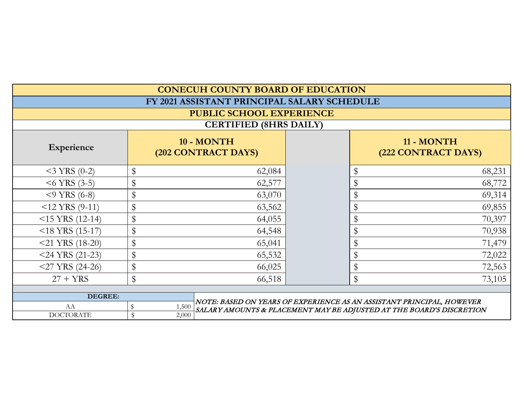|                               | <b>CONECUH COUNTY BOARD OF EDUCATION</b> |                                                                                                                                               |  |                                   |        |  |  |  |
|-------------------------------|------------------------------------------|-----------------------------------------------------------------------------------------------------------------------------------------------|--|-----------------------------------|--------|--|--|--|
|                               |                                          | FY 2021 ASSISTANT PRINCIPAL SALARY SCHEDULE                                                                                                   |  |                                   |        |  |  |  |
|                               | PUBLIC SCHOOL EXPERIENCE                 |                                                                                                                                               |  |                                   |        |  |  |  |
| <b>CERTIFIED (8HRS DAILY)</b> |                                          |                                                                                                                                               |  |                                   |        |  |  |  |
| Experience                    |                                          | 10 - MONTH<br>(202 CONTRACT DAYS)                                                                                                             |  | 11 - MONTH<br>(222 CONTRACT DAYS) |        |  |  |  |
| $<$ 3 YRS (0-2)               | \$                                       | 62,084                                                                                                                                        |  |                                   | 68,231 |  |  |  |
| $<$ 6 YRS (3-5)               | \$                                       | 62,577                                                                                                                                        |  |                                   | 68,772 |  |  |  |
| $<$ 9 YRS (6-8)               | \$                                       | 63,070                                                                                                                                        |  |                                   | 69,314 |  |  |  |
| $<$ 12 YRS (9-11)             | \$                                       | 63,562                                                                                                                                        |  |                                   | 69,855 |  |  |  |
| $<$ 15 YRS (12-14)            | \$                                       | 64,055                                                                                                                                        |  |                                   | 70,397 |  |  |  |
| $<$ 18 YRS (15-17)            | \$                                       | 64,548                                                                                                                                        |  |                                   | 70,938 |  |  |  |
| $<$ 21 YRS (18-20)            | \$                                       | 65,041                                                                                                                                        |  |                                   | 71,479 |  |  |  |
| $<$ 24 YRS (21-23)            | \$                                       | 65,532                                                                                                                                        |  |                                   | 72,022 |  |  |  |
| $<$ 27 YRS (24-26)            | \$                                       | 66,025                                                                                                                                        |  |                                   | 72,563 |  |  |  |
| $27 + YRS$                    | \$                                       | 66,518                                                                                                                                        |  | $\mathbb S$                       | 73,105 |  |  |  |
| <b>DEGREE:</b>                |                                          |                                                                                                                                               |  |                                   |        |  |  |  |
| AA                            | \$<br>1,500                              | NOTE: BASED ON YEARS OF EXPERIENCE AS AN ASSISTANT PRINCIPAL, HOWEVER<br>SALARY AMOUNTS & PLACEMENT MAY BE ADJUSTED AT THE BOARD'S DISCRETION |  |                                   |        |  |  |  |
| <b>DOCTORATE</b>              | $\mathbb{S}$<br>2,000                    |                                                                                                                                               |  |                                   |        |  |  |  |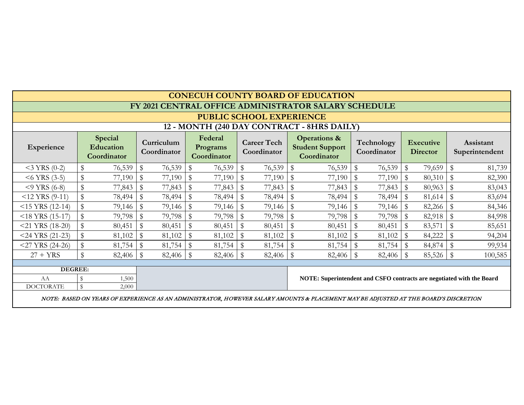|                                            | <b>CONECUH COUNTY BOARD OF EDUCATION</b>                                                                                             |                                     |                           |        |                         |                                    |                                   |        |              |                                                                  |                           |        |                                     |        |                         |                             |
|--------------------------------------------|--------------------------------------------------------------------------------------------------------------------------------------|-------------------------------------|---------------------------|--------|-------------------------|------------------------------------|-----------------------------------|--------|--------------|------------------------------------------------------------------|---------------------------|--------|-------------------------------------|--------|-------------------------|-----------------------------|
|                                            |                                                                                                                                      |                                     |                           |        |                         |                                    |                                   |        |              | FY 2021 CENTRAL OFFICE ADMINISTRATOR SALARY SCHEDULE             |                           |        |                                     |        |                         |                             |
|                                            | <b>PUBLIC SCHOOL EXPERIENCE</b>                                                                                                      |                                     |                           |        |                         |                                    |                                   |        |              |                                                                  |                           |        |                                     |        |                         |                             |
| 12 - MONTH (240 DAY CONTRACT - 8HRS DAILY) |                                                                                                                                      |                                     |                           |        |                         |                                    |                                   |        |              |                                                                  |                           |        |                                     |        |                         |                             |
| Experience                                 |                                                                                                                                      | Special<br>Education<br>Coordinator | Curriculum<br>Coordinator |        |                         | Federal<br>Programs<br>Coordinator | <b>Career Tech</b><br>Coordinator |        |              | <b>Operations &amp;</b><br><b>Student Support</b><br>Coordinator | Technology<br>Coordinator |        | <b>Executive</b><br><b>Director</b> |        |                         | Assistant<br>Superintendent |
| $<$ 3 YRS (0-2)                            |                                                                                                                                      | 76,539                              | $\$\$                     | 76,539 | $\$\$                   | 76,539                             | $\mathbb{S}$                      | 76,539 | \$           | 76,539                                                           | $\mathbb{S}$              | 76,539 | $\$\$                               | 79,659 | $\$\$                   | 81,739                      |
| $<$ 6 YRS (3-5)                            | $\frac{1}{2}$                                                                                                                        | 77,190                              | $\sqrt[6]{\frac{1}{2}}$   | 77,190 | $\sqrt[6]{\frac{1}{2}}$ | 77,190                             | \$                                | 77,190 | \$           |                                                                  |                           | 77,190 | $\$\$                               | 80,310 | $\sqrt[6]{\frac{1}{2}}$ | 82,390                      |
| $<$ 9 YRS (6-8)                            | $\mathbb{S}$                                                                                                                         | 77,843                              | $\$\$                     | 77,843 | $\$\$                   | 77,843                             | \$                                | 77,843 | $\mathbb{S}$ | 77,843                                                           | $\mathbb{S}$              | 77,843 | $\$\$                               | 80,963 | $\$\$                   | 83,043                      |
| $<$ 12 YRS (9-11)                          | $\mathcal{S}$                                                                                                                        | 78,494                              | $\$\$                     | 78,494 | $\sqrt[6]{\frac{1}{2}}$ | 78,494                             | \$                                | 78,494 |              | 78,494                                                           | $\mathbb{S}$              | 78,494 | $\$\$                               | 81,614 | $\mathbb{S}$            | 83,694                      |
| $<$ 15 YRS (12-14)                         | $\mathbb{S}$                                                                                                                         | 79,146                              | $\sqrt[6]{\frac{1}{2}}$   | 79,146 | $\sqrt[6]{\frac{1}{2}}$ | 79,146                             |                                   | 79,146 | $\mathbb{S}$ | 79,146                                                           | $\sqrt[6]{\frac{1}{2}}$   | 79,146 | $\$\$                               | 82,266 | $\$\$                   | 84,346                      |
| $<$ 18 YRS (15-17)                         | $\mathbb{S}$                                                                                                                         | 79,798                              | $\mathbb{S}$              | 79,798 | $\sqrt[6]{\frac{1}{2}}$ | 79,798                             | $\mathbb{S}$                      | 79,798 | \$           | 79,798                                                           | \$                        | 79,798 | $\$\$                               | 82,918 | \$                      | 84,998                      |
| $<$ 21 YRS (18-20)                         | $\mathbb{S}$                                                                                                                         | 80,451                              | $\$\$                     | 80,451 | $\sqrt[6]{\frac{1}{2}}$ | 80,451                             |                                   | 80,451 |              | 80,451                                                           | $\mathbb S$               | 80,451 | $\$\$                               | 83,571 | \$                      | 85,651                      |
| $<$ 24 YRS (21-23)                         | $\mathbb{S}$                                                                                                                         | 81,102                              | $\$\$                     | 81,102 | $\sqrt[6]{\frac{1}{2}}$ | 81,102                             | \$                                | 81,102 | \$           | 81,102                                                           | $\mathbb S$               | 81,102 | $\$\,$                              | 84,222 | \$                      | 94,204                      |
| $<$ 27 YRS (24-26)                         |                                                                                                                                      | 81,754                              | $\frac{1}{2}$             | 81,754 | \$                      | 81,754                             | $\mathbb{S}$                      | 81,754 | \$           | 81,754                                                           | $\sqrt[6]{\frac{1}{2}}$   | 81,754 | $\$\$                               | 84,874 | \$                      | 99,934                      |
| $27 + YRS$                                 | \$                                                                                                                                   | 82,406                              | $\sqrt[6]{\frac{1}{2}}$   | 82,406 | $\sqrt[6]{\frac{1}{2}}$ | 82,406                             | $\sqrt[6]{\frac{1}{2}}$           | 82,406 | $\mathbb S$  | 82,406                                                           | $\mathfrak{F}$            | 82,406 | $\mathbb S$                         | 85,526 | $\mathbb{S}$            | 100,585                     |
| <b>DEGREE:</b>                             |                                                                                                                                      |                                     |                           |        |                         |                                    |                                   |        |              |                                                                  |                           |        |                                     |        |                         |                             |
|                                            | NOTE: Superintendent and CSFO contracts are negotiated with the Board<br>$\$\$<br>AA<br>1,500                                        |                                     |                           |        |                         |                                    |                                   |        |              |                                                                  |                           |        |                                     |        |                         |                             |
| <b>DOCTORATE</b>                           | $\$\,$                                                                                                                               | 2,000                               |                           |        |                         |                                    |                                   |        |              |                                                                  |                           |        |                                     |        |                         |                             |
|                                            | NOTE: BASED ON YEARS OF EXPERIENCE AS AN ADMINISTRATOR, HOWEVER SALARY AMOUNTS & PLACEMENT MAY BE ADJUSTED AT THE BOARD'S DISCRETION |                                     |                           |        |                         |                                    |                                   |        |              |                                                                  |                           |        |                                     |        |                         |                             |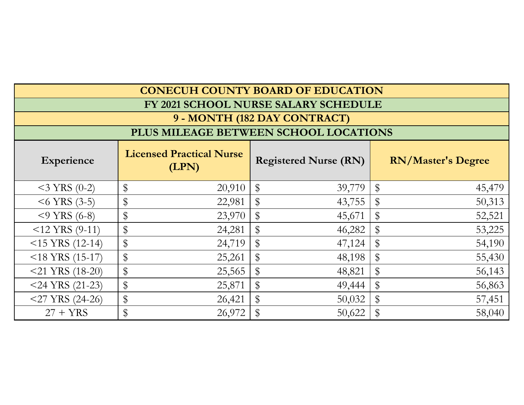| <b>CONECUH COUNTY BOARD OF EDUCATION</b> |                                          |                                      |                           |  |  |  |  |  |  |
|------------------------------------------|------------------------------------------|--------------------------------------|---------------------------|--|--|--|--|--|--|
|                                          |                                          | FY 2021 SCHOOL NURSE SALARY SCHEDULE |                           |  |  |  |  |  |  |
| 9 - MONTH (182 DAY CONTRACT)             |                                          |                                      |                           |  |  |  |  |  |  |
| PLUS MILEAGE BETWEEN SCHOOL LOCATIONS    |                                          |                                      |                           |  |  |  |  |  |  |
| <b>Experience</b>                        | <b>Licensed Practical Nurse</b><br>(LPN) | <b>Registered Nurse (RN)</b>         | <b>RN/Master's Degree</b> |  |  |  |  |  |  |
| $<$ 3 YRS (0-2)                          | \$                                       | $\$\$                                | \$                        |  |  |  |  |  |  |
|                                          | 20,910                                   | 39,779                               | 45,479                    |  |  |  |  |  |  |
| $<$ 6 YRS (3-5)                          | \$                                       | $\$\$                                | 50,313                    |  |  |  |  |  |  |
|                                          | 22,981                                   | 43,755                               | \$                        |  |  |  |  |  |  |
| $<$ 9 YRS (6-8)                          | \$                                       | $\$\$                                | 52,521                    |  |  |  |  |  |  |
|                                          | 23,970                                   | 45,671                               | $\$\$                     |  |  |  |  |  |  |
| $<$ 12 YRS (9-11)                        | \$                                       | \$                                   | 53,225                    |  |  |  |  |  |  |
|                                          | 24,281                                   | 46,282                               | \$                        |  |  |  |  |  |  |
| $<$ 15 YRS (12-14)                       | \$                                       | \$                                   | \$                        |  |  |  |  |  |  |
|                                          | 24,719                                   | 47,124                               | 54,190                    |  |  |  |  |  |  |
| $<$ 18 YRS (15-17)                       | \$                                       | \$                                   | 55,430                    |  |  |  |  |  |  |
|                                          | 25,261                                   | 48,198                               | \$                        |  |  |  |  |  |  |
| $<$ 21 YRS (18-20)                       | \$                                       | \$                                   | $\$\$                     |  |  |  |  |  |  |
|                                          | 25,565                                   | 48,821                               | 56,143                    |  |  |  |  |  |  |
| $<$ 24 YRS (21-23)                       | \$                                       | $\$\$                                | 56,863                    |  |  |  |  |  |  |
|                                          | 25,871                                   | 49,444                               | $\$\$                     |  |  |  |  |  |  |
| $<$ 27 YRS (24-26)                       | \$                                       | \$                                   | \$                        |  |  |  |  |  |  |
|                                          | 26,421                                   | 50,032                               | 57,451                    |  |  |  |  |  |  |
| $27 + YRS$                               | \$<br>26,972                             | 50,622                               | 58,040                    |  |  |  |  |  |  |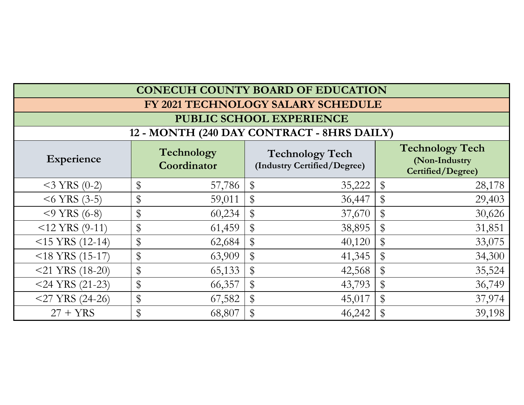| <b>CONECUH COUNTY BOARD OF EDUCATION</b>   |    |                           |                                                       |    |                                                              |  |  |  |  |
|--------------------------------------------|----|---------------------------|-------------------------------------------------------|----|--------------------------------------------------------------|--|--|--|--|
|                                            |    |                           | FY 2021 TECHNOLOGY SALARY SCHEDULE                    |    |                                                              |  |  |  |  |
| <b>PUBLIC SCHOOL EXPERIENCE</b>            |    |                           |                                                       |    |                                                              |  |  |  |  |
| 12 - MONTH (240 DAY CONTRACT - 8HRS DAILY) |    |                           |                                                       |    |                                                              |  |  |  |  |
| <b>Experience</b>                          |    | Technology<br>Coordinator | <b>Technology Tech</b><br>(Industry Certified/Degree) |    | <b>Technology Tech</b><br>(Non-Industry<br>Certified/Degree) |  |  |  |  |
| $<$ 3 YRS (0-2)                            | \$ | 57,786                    | \$<br>35,222                                          | \$ | 28,178                                                       |  |  |  |  |
| $<$ 6 YRS (3-5)                            | \$ | 59,011                    | \$<br>36,447                                          | \$ | 29,403                                                       |  |  |  |  |
| $<$ 9 YRS (6-8)                            | \$ | 60,234                    | \$<br>37,670                                          | \$ | 30,626                                                       |  |  |  |  |
| $<$ 12 YRS (9-11)                          | \$ | 61,459                    | \$<br>38,895                                          | \$ | 31,851                                                       |  |  |  |  |
| $<$ 15 YRS (12-14)                         | \$ | 62,684                    | \$<br>40,120                                          | \$ | 33,075                                                       |  |  |  |  |
| $<$ 18 YRS (15-17)                         | \$ | 63,909                    | \$<br>41,345                                          | \$ | 34,300                                                       |  |  |  |  |
| $<$ 21 YRS (18-20)                         | \$ | 65,133                    | \$<br>42,568                                          | \$ | 35,524                                                       |  |  |  |  |
| $<$ 24 YRS (21-23)                         | \$ | 66,357                    | \$<br>43,793                                          | \$ | 36,749                                                       |  |  |  |  |
| $<$ 27 YRS (24-26)                         | \$ | 67,582                    | \$<br>45,017                                          | \$ | 37,974                                                       |  |  |  |  |
| $27 + YRS$                                 | \$ | 68,807                    | \$<br>46,242                                          | \$ | 39,198                                                       |  |  |  |  |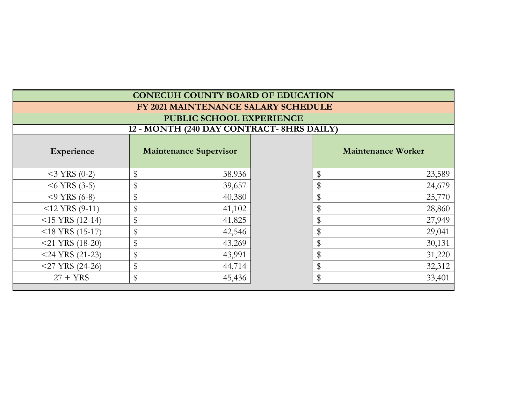| <b>CONECUH COUNTY BOARD OF EDUCATION</b> |                                     |    |                           |  |  |  |  |  |  |  |
|------------------------------------------|-------------------------------------|----|---------------------------|--|--|--|--|--|--|--|
|                                          | FY 2021 MAINTENANCE SALARY SCHEDULE |    |                           |  |  |  |  |  |  |  |
|                                          | PUBLIC SCHOOL EXPERIENCE            |    |                           |  |  |  |  |  |  |  |
| 12 - MONTH (240 DAY CONTRACT-8HRS DAILY) |                                     |    |                           |  |  |  |  |  |  |  |
| Experience                               | <b>Maintenance Supervisor</b>       |    | <b>Maintenance Worker</b> |  |  |  |  |  |  |  |
| $<$ 3 YRS (0-2)                          | \$<br>38,936                        | \$ | 23,589                    |  |  |  |  |  |  |  |
| $<$ 6 YRS (3-5)                          | \$<br>39,657                        | \$ | 24,679                    |  |  |  |  |  |  |  |
| $<$ 9 YRS (6-8)                          | \$<br>40,380                        |    | 25,770                    |  |  |  |  |  |  |  |
| $<$ 12 YRS (9-11)                        | \$<br>41,102                        | \$ | 28,860                    |  |  |  |  |  |  |  |
| $<$ 15 YRS (12-14)                       | \$<br>41,825                        |    | 27,949                    |  |  |  |  |  |  |  |
| $<$ 18 YRS (15-17)                       | \$<br>42,546                        | \$ | 29,041                    |  |  |  |  |  |  |  |
| $<$ 21 YRS (18-20)                       | \$<br>43,269                        | \$ | 30,131                    |  |  |  |  |  |  |  |
| $<$ 24 YRS (21-23)                       | \$<br>43,991                        | \$ | 31,220                    |  |  |  |  |  |  |  |
| $<$ 27 YRS (24-26)                       | \$<br>44,714                        | \$ | 32,312                    |  |  |  |  |  |  |  |
| $27 + YRS$                               | \$<br>$\$\$<br>33,401<br>45,436     |    |                           |  |  |  |  |  |  |  |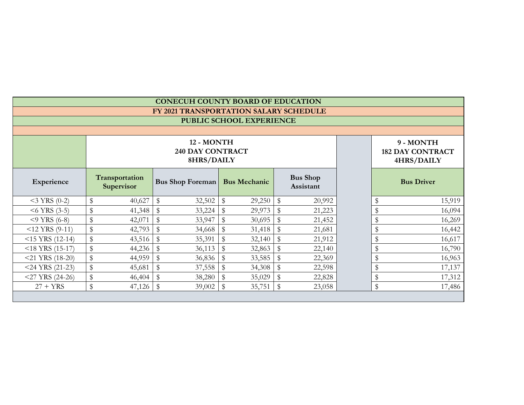|                    |                          |                              |                                                                                | <b>CONECUH COUNTY BOARD OF EDUCATION</b>            |                         |        |                                                    |        |  |    |        |
|--------------------|--------------------------|------------------------------|--------------------------------------------------------------------------------|-----------------------------------------------------|-------------------------|--------|----------------------------------------------------|--------|--|----|--------|
|                    |                          |                              |                                                                                | FY 2021 TRANSPORTATION SALARY SCHEDULE              |                         |        |                                                    |        |  |    |        |
|                    | PUBLIC SCHOOL EXPERIENCE |                              |                                                                                |                                                     |                         |        |                                                    |        |  |    |        |
|                    |                          |                              |                                                                                |                                                     |                         |        |                                                    |        |  |    |        |
|                    |                          |                              |                                                                                | 12 - MONTH<br><b>240 DAY CONTRACT</b><br>8HRS/DAILY |                         |        | 9 - MONTH<br><b>182 DAY CONTRACT</b><br>4HRS/DAILY |        |  |    |        |
| Experience         |                          | Transportation<br>Supervisor | <b>Bus Shop</b><br><b>Bus Mechanic</b><br><b>Bus Shop Foreman</b><br>Assistant |                                                     |                         |        | <b>Bus Driver</b>                                  |        |  |    |        |
| $<$ 3 YRS (0-2)    | \$                       | 40,627                       | \$                                                                             | 32,502                                              | \$                      | 29,250 | \$                                                 | 20,992 |  |    | 15,919 |
| $<$ 6 YRS (3-5)    | \$                       | 41,348                       | \$                                                                             | 33,224                                              | $\mathbb{S}$            | 29,973 | $\mathbb S$                                        | 21,223 |  |    | 16,094 |
| $<$ 9 YRS (6-8)    | \$                       | 42,071                       | \$                                                                             | 33,947                                              | \$                      | 30,695 | \$                                                 | 21,452 |  |    | 16,269 |
| $<$ 12 YRS (9-11)  | \$                       | 42,793                       | $\$\$                                                                          | 34,668                                              | $\mathbb{S}$            | 31,418 | $\mathbb S$                                        | 21,681 |  | \$ | 16,442 |
| $<$ 15 YRS (12-14) | \$                       | 43,516                       | \$                                                                             | 35,391                                              | $\mathbb{S}$            | 32,140 | \$                                                 | 21,912 |  |    | 16,617 |
| $<$ 18 YRS (15-17) | \$                       | 44,236                       | \$                                                                             | 36,113                                              | $\sqrt[6]{\frac{1}{2}}$ | 32,863 | \$                                                 | 22,140 |  |    | 16,790 |
| $<$ 21 YRS (18-20) | \$                       | 44,959                       | \$                                                                             | 36,836                                              | \$                      | 33,585 | \$                                                 | 22,369 |  |    | 16,963 |
| $<$ 24 YRS (21-23) | \$                       | 45,681                       | \$                                                                             | 37,558                                              | \$                      | 34,308 | \$                                                 | 22,598 |  |    | 17,137 |
| $<$ 27 YRS (24-26) | \$                       | 46,404                       | \$                                                                             | 38,280                                              | $\sqrt[6]{\frac{1}{2}}$ | 35,029 | $\$\$                                              | 22,828 |  |    | 17,312 |
| $27 + YRS$         | \$                       | 47,126                       | \$                                                                             | 39,002                                              | \$                      | 35,751 | \$                                                 | 23,058 |  | \$ | 17,486 |
|                    |                          |                              |                                                                                |                                                     |                         |        |                                                    |        |  |    |        |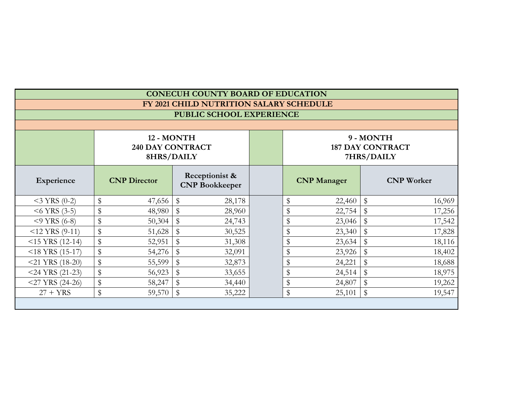| <b>CONECUH COUNTY BOARD OF EDUCATION</b> |                          |                                                     |                                         |        |  |                         |                         |              |                   |  |  |
|------------------------------------------|--------------------------|-----------------------------------------------------|-----------------------------------------|--------|--|-------------------------|-------------------------|--------------|-------------------|--|--|
|                                          |                          |                                                     | FY 2021 CHILD NUTRITION SALARY SCHEDULE |        |  |                         |                         |              |                   |  |  |
|                                          | PUBLIC SCHOOL EXPERIENCE |                                                     |                                         |        |  |                         |                         |              |                   |  |  |
|                                          |                          |                                                     |                                         |        |  |                         |                         |              |                   |  |  |
|                                          |                          | 12 - MONTH<br><b>240 DAY CONTRACT</b><br>8HRS/DAILY |                                         |        |  | <b>187 DAY CONTRACT</b> | 9 - MONTH<br>7HRS/DAILY |              |                   |  |  |
| Experience                               |                          | <b>CNP</b> Director                                 | Receptionist &<br><b>CNP Bookkeeper</b> |        |  |                         | <b>CNP</b> Manager      |              | <b>CNP</b> Worker |  |  |
| $<$ 3 YRS (0-2)                          | \$                       | 47,656                                              | $\mathbb{S}$                            | 28,178 |  | \$                      | 22,460                  | \$           | 16,969            |  |  |
| $<$ 6 YRS (3-5)                          | \$                       | 48,980                                              | $\mathbb{S}$                            | 28,960 |  | \$                      | 22,754                  | \$           | 17,256            |  |  |
| $<$ 9 YRS (6-8)                          | \$                       | 50,304                                              | $\mathbb{S}$                            | 24,743 |  | \$                      | 23,046                  | $\mathbb{S}$ | 17,542            |  |  |
| $<$ 12 YRS (9-11)                        | $\,$                     | 51,628                                              | $\mathbb{S}$                            | 30,525 |  | \$                      | 23,340                  | \$           | 17,828            |  |  |
| $<$ 15 YRS (12-14)                       | \$                       | 52,951                                              | $\mathbb S$                             | 31,308 |  | \$                      | 23,634                  | $\mathbb S$  | 18,116            |  |  |
| $<$ 18 YRS (15-17)                       | \$                       | 54,276                                              | $\mathbb{S}$                            | 32,091 |  | \$                      | 23,926                  | \$           | 18,402            |  |  |
| $<$ 21 YRS (18-20)                       | \$                       | 55,599                                              | $\mathbb{S}$                            | 32,873 |  | \$                      | 24,221                  | $\mathbb{S}$ | 18,688            |  |  |
| $<$ 24 YRS (21-23)                       | \$                       | 56,923                                              | $\mathbb{S}$                            | 33,655 |  | \$                      | 24,514                  | \$           | 18,975            |  |  |
| $<$ 27 YRS (24-26)                       | \$                       | 58,247                                              | $\mathbb{S}$                            | 34,440 |  | \$                      | 24,807                  | \$           | 19,262            |  |  |
| $27 + YRS$                               | \$                       | 59,570                                              | $\mathbb{S}$                            | 35,222 |  | \$                      | 25,101                  | $\$\$        | 19,547            |  |  |
|                                          |                          |                                                     |                                         |        |  |                         |                         |              |                   |  |  |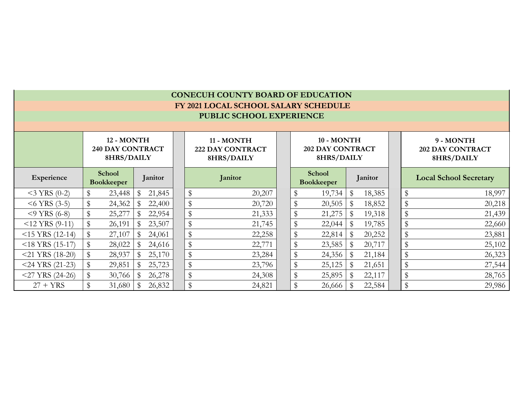|                    | <b>CONECUH COUNTY BOARD OF EDUCATION</b>            |        |    |                                                     |  |               |                                      |                                                     |                             |        |             |                                                    |                               |        |
|--------------------|-----------------------------------------------------|--------|----|-----------------------------------------------------|--|---------------|--------------------------------------|-----------------------------------------------------|-----------------------------|--------|-------------|----------------------------------------------------|-------------------------------|--------|
|                    |                                                     |        |    |                                                     |  |               | FY 2021 LOCAL SCHOOL SALARY SCHEDULE |                                                     |                             |        |             |                                                    |                               |        |
|                    | PUBLIC SCHOOL EXPERIENCE                            |        |    |                                                     |  |               |                                      |                                                     |                             |        |             |                                                    |                               |        |
|                    |                                                     |        |    |                                                     |  |               |                                      |                                                     |                             |        |             |                                                    |                               |        |
|                    | 12 - MONTH<br><b>240 DAY CONTRACT</b><br>8HRS/DAILY |        |    | 11 - MONTH<br><b>222 DAY CONTRACT</b><br>8HRS/DAILY |  |               |                                      | 10 - MONTH<br><b>202 DAY CONTRACT</b><br>8HRS/DAILY |                             |        |             | 9 - MONTH<br><b>202 DAY CONTRACT</b><br>8HRS/DAILY |                               |        |
| Experience         | <b>School</b><br>Janitor<br><b>Bookkeeper</b>       |        |    |                                                     |  | Janitor       |                                      |                                                     | School<br><b>Bookkeeper</b> |        | Janitor     |                                                    | <b>Local School Secretary</b> |        |
| $<$ 3 YRS (0-2)    | \$                                                  | 23,448 | \$ | 21,845                                              |  | $\$\$         | 20,207                               |                                                     |                             | 19,734 | \$          | 18,385                                             | $\mathbb{S}$                  | 18,997 |
| $<$ 6 YRS (3-5)    | \$                                                  | 24,362 | \$ | 22,400                                              |  | $\$\$         | 20,720                               |                                                     |                             | 20,505 | \$          | 18,852                                             | \$                            | 20,218 |
| $<$ 9 YRS (6-8)    | \$                                                  | 25,277 |    | 22,954                                              |  | \$            | 21,333                               |                                                     |                             | 21,275 |             | 19,318                                             | \$                            | 21,439 |
| $<$ 12 YRS (9-11)  | $\$\$                                               | 26,191 |    | 23,507                                              |  | $\frac{1}{2}$ | 21,745                               |                                                     |                             | 22,044 | \$          | 19,785                                             | \$                            | 22,660 |
| $<$ 15 YRS (12-14) | \$                                                  | 27,107 | \$ | 24,061                                              |  | $\$\,$        | 22,258                               |                                                     |                             | 22,814 | \$          | 20,252                                             | $\mathbb S$                   | 23,881 |
| $<$ 18 YRS (15-17) | $\$\$                                               | 28,022 | \$ | 24,616                                              |  | $\$\$         | 22,771                               |                                                     | $\mathcal{R}$               | 23,585 | $\mathbb S$ | 20,717                                             | \$                            | 25,102 |
| $<$ 21 YRS (18-20) | $\$\$                                               | 28,937 | \$ | 25,170                                              |  | $\mathbb{S}$  | 23,284                               |                                                     |                             | 24,356 | \$          | 21,184                                             | \$                            | 26,323 |
| $<$ 24 YRS (21-23) | $\$\$                                               | 29,851 |    | 25,723                                              |  | $\mathbb{S}$  | 23,796                               |                                                     |                             | 25,125 | \$          | 21,651                                             | $\mathbb{S}$                  | 27,544 |
| $<$ 27 YRS (24-26) | $\$\$                                               | 30,766 | \$ | 26,278                                              |  | $\$\,$        | 24,308                               |                                                     |                             | 25,895 | $\$\$       | 22,117                                             | \$                            | 28,765 |
| $27 + YRS$         | $\$\$                                               | 31,680 |    | 26,832                                              |  | $\$\$         | 24,821                               |                                                     |                             | 26,666 | \$          | 22,584                                             | $\mathbb{S}$                  | 29,986 |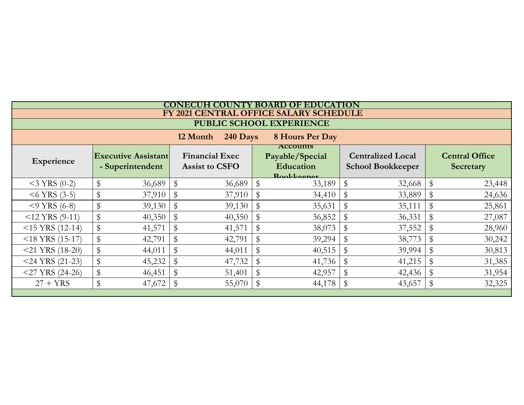|                                         | CONECUH COUNTY BOARD OF EDUCATION |                                                |              |                                                |    |                                                                      |              |                                                      |    |                                           |  |  |  |
|-----------------------------------------|-----------------------------------|------------------------------------------------|--------------|------------------------------------------------|----|----------------------------------------------------------------------|--------------|------------------------------------------------------|----|-------------------------------------------|--|--|--|
|                                         |                                   |                                                |              |                                                |    | FY 2021 CENTRAL OFFICE SALARY SCHEDULE                               |              |                                                      |    |                                           |  |  |  |
|                                         | PUBLIC SCHOOL EXPERIENCE          |                                                |              |                                                |    |                                                                      |              |                                                      |    |                                           |  |  |  |
| 12 Month<br>240 Days<br>8 Hours Per Day |                                   |                                                |              |                                                |    |                                                                      |              |                                                      |    |                                           |  |  |  |
| Experience                              |                                   | <b>Executive Assistant</b><br>- Superintendent |              | <b>Financial Exec</b><br><b>Assist to CSFO</b> |    | <b>ACCOUNTS</b><br>Payable/Special<br><b>Education</b><br>Rookkeeper |              | <b>Centralized Local</b><br><b>School Bookkeeper</b> |    | <b>Central Office</b><br><b>Secretary</b> |  |  |  |
| $<$ 3 YRS (0-2)                         | \$                                | 36,689                                         | $\mathbb{S}$ | 36,689                                         | \$ | 33,189                                                               | $\mathbb{S}$ | 32,668                                               | \$ | 23,448                                    |  |  |  |
| $<$ 6 YRS (3-5)                         | \$                                | 37,910                                         | $\mathbb{S}$ | 37,910                                         | \$ | 34,410                                                               | \$           | 33,889                                               | \$ | 24,636                                    |  |  |  |
| $<$ 9 YRS (6-8)                         | \$                                | 39,130                                         |              | 39,130                                         | \$ | 35,631                                                               |              | 35,111                                               | \$ | 25,861                                    |  |  |  |
| $<$ 12 YRS (9-11)                       | $\mathbb{S}$                      | 40,350                                         |              | 40,350                                         | \$ | 36,852                                                               | \$           | 36,331                                               |    | 27,087                                    |  |  |  |
| $<$ 15 YRS (12-14)                      |                                   | 41,571                                         |              | 41,571                                         | \$ | 38,073                                                               |              | 37,552                                               |    | 28,960                                    |  |  |  |
| $<$ 18 YRS (15-17)                      |                                   | 42,791                                         |              | 42,791                                         | \$ | 39,294                                                               | \$           | 38,773                                               |    | 30,242                                    |  |  |  |
| $<$ 21 YRS (18-20)                      |                                   | 44,011                                         |              | 44,011                                         | \$ | 40,515                                                               |              | 39,994                                               | \$ | 30,813                                    |  |  |  |
| $<$ 24 YRS (21-23)                      | $\mathbb S$                       | 45,232                                         |              | 47,732                                         | \$ | 41,736                                                               | \$           | 41,215                                               |    | 31,385                                    |  |  |  |
| $<$ 27 YRS (24-26)                      | $\mathbb{S}$                      | 46,451                                         | $\mathbb{S}$ | 51,401                                         | \$ | 42,957                                                               | \$           | 42,436                                               | \$ | 31,954                                    |  |  |  |
| $27 + YRS$                              | $\mathbb{S}$                      | 47,672                                         | $\mathbb{S}$ | 55,070                                         | \$ | 44,178                                                               | \$           | 43,657                                               | \$ | 32,325                                    |  |  |  |
|                                         |                                   |                                                |              |                                                |    |                                                                      |              |                                                      |    |                                           |  |  |  |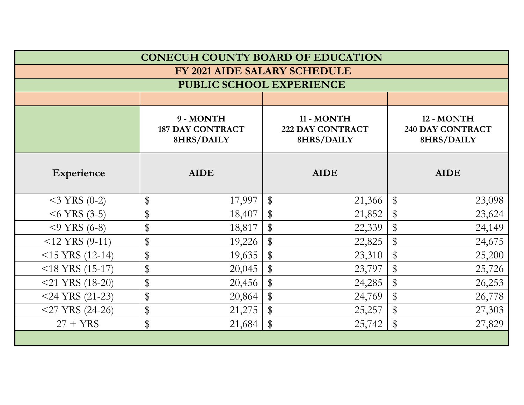|                    |                          | <b>CONECUH COUNTY BOARD OF EDUCATION</b> |                         |  |
|--------------------|--------------------------|------------------------------------------|-------------------------|--|
|                    |                          | <b>FY 2021 AIDE SALARY SCHEDULE</b>      |                         |  |
|                    | PUBLIC SCHOOL EXPERIENCE |                                          |                         |  |
|                    |                          |                                          |                         |  |
|                    | 9 - MONTH                | 11 - MONTH                               | 12 - MONTH              |  |
|                    | <b>187 DAY CONTRACT</b>  | <b>222 DAY CONTRACT</b>                  | <b>240 DAY CONTRACT</b> |  |
|                    | 8HRS/DAILY               | 8HRS/DAILY                               | 8HRS/DAILY              |  |
| Experience         | <b>AIDE</b>              | <b>AIDE</b>                              | <b>AIDE</b>             |  |
| $<$ 3 YRS (0-2)    | \$                       | $\frac{1}{2}$                            | $\$\$                   |  |
|                    | 17,997                   | 21,366                                   | 23,098                  |  |
| $<$ 6 YRS (3-5)    | \$                       | $\frac{1}{2}$                            | $\$\$                   |  |
|                    | 18,407                   | 21,852                                   | 23,624                  |  |
| $<$ 9 YRS (6-8)    | \$                       | \$                                       | $\$\$                   |  |
|                    | 18,817                   | 22,339                                   | 24,149                  |  |
| $<$ 12 YRS (9-11)  | \$                       | $\$\$                                    | \$                      |  |
|                    | 19,226                   | 22,825                                   | 24,675                  |  |
| $<$ 15 YRS (12-14) | \$                       | \$                                       | $\$\$                   |  |
|                    | 19,635                   | 23,310                                   | 25,200                  |  |
| $<$ 18 YRS (15-17) | \$                       | $\$\$                                    | $\$\$                   |  |
|                    | 20,045                   | 23,797                                   | 25,726                  |  |
| $<$ 21 YRS (18-20) | \$                       | $\$\$                                    | $\$\$                   |  |
|                    | 20,456                   | 24,285                                   | 26,253                  |  |
| $<$ 24 YRS (21-23) | \$                       | $\$\$                                    | $\$\$                   |  |
|                    | 20,864                   | 24,769                                   | 26,778                  |  |
| $<$ 27 YRS (24-26) | \$                       | $\$\$                                    | $\$\$                   |  |
|                    | 21,275                   | 25,257                                   | 27,303                  |  |
| $27 + YRS$         | \$                       | $\mathbb{S}$                             | $\$\$                   |  |
|                    | 21,684                   | 25,742                                   | 27,829                  |  |
|                    |                          |                                          |                         |  |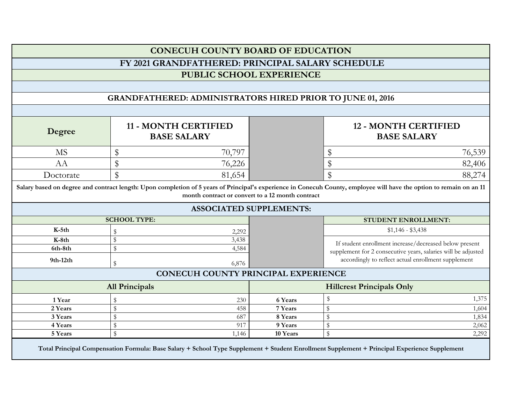|                                                                   |                                                                                                                                                                                                                          | <b>CONECUH COUNTY BOARD OF EDUCATION</b>   |                    |                                                                                                                      |       |  |  |  |  |  |  |
|-------------------------------------------------------------------|--------------------------------------------------------------------------------------------------------------------------------------------------------------------------------------------------------------------------|--------------------------------------------|--------------------|----------------------------------------------------------------------------------------------------------------------|-------|--|--|--|--|--|--|
|                                                                   |                                                                                                                                                                                                                          |                                            |                    |                                                                                                                      |       |  |  |  |  |  |  |
|                                                                   | FY 2021 GRANDFATHERED: PRINCIPAL SALARY SCHEDULE                                                                                                                                                                         |                                            |                    |                                                                                                                      |       |  |  |  |  |  |  |
|                                                                   |                                                                                                                                                                                                                          | <b>PUBLIC SCHOOL EXPERIENCE</b>            |                    |                                                                                                                      |       |  |  |  |  |  |  |
|                                                                   |                                                                                                                                                                                                                          |                                            |                    |                                                                                                                      |       |  |  |  |  |  |  |
| <b>GRANDFATHERED: ADMINISTRATORS HIRED PRIOR TO JUNE 01, 2016</b> |                                                                                                                                                                                                                          |                                            |                    |                                                                                                                      |       |  |  |  |  |  |  |
|                                                                   |                                                                                                                                                                                                                          |                                            |                    |                                                                                                                      |       |  |  |  |  |  |  |
| Degree                                                            | 11 - MONTH CERTIFIED<br><b>BASE SALARY</b>                                                                                                                                                                               |                                            |                    | <b>12 - MONTH CERTIFIED</b><br><b>BASE SALARY</b>                                                                    |       |  |  |  |  |  |  |
| <b>MS</b>                                                         | \$                                                                                                                                                                                                                       | 70,797                                     |                    | 76,539<br>\$                                                                                                         |       |  |  |  |  |  |  |
| AA                                                                | \$                                                                                                                                                                                                                       | 76,226                                     |                    | \$<br>82,406                                                                                                         |       |  |  |  |  |  |  |
| Doctorate                                                         | $\$\$                                                                                                                                                                                                                    | 81,654                                     |                    | $\mathbf{\$}$<br>88,274                                                                                              |       |  |  |  |  |  |  |
|                                                                   | Salary based on degree and contract length: Upon completion of 5 years of Principal's experience in Conecuh County, employee will have the option to remain on an 11<br>month contract or convert to a 12 month contract |                                            |                    |                                                                                                                      |       |  |  |  |  |  |  |
|                                                                   |                                                                                                                                                                                                                          | <b>ASSOCIATED SUPPLEMENTS:</b>             |                    |                                                                                                                      |       |  |  |  |  |  |  |
|                                                                   | <b>SCHOOL TYPE:</b>                                                                                                                                                                                                      |                                            |                    | <b>STUDENT ENROLLMENT:</b>                                                                                           |       |  |  |  |  |  |  |
|                                                                   |                                                                                                                                                                                                                          |                                            |                    |                                                                                                                      |       |  |  |  |  |  |  |
| $K-5th$                                                           | \$                                                                                                                                                                                                                       | 2,292                                      |                    | $$1,146 - $3,438$                                                                                                    |       |  |  |  |  |  |  |
| $K-8th$                                                           | $\mathbb S$                                                                                                                                                                                                              | 3,438                                      |                    |                                                                                                                      |       |  |  |  |  |  |  |
| 6th-8th                                                           | $\mathbb S$                                                                                                                                                                                                              | 4,584                                      |                    | If student enrollment increase/decreased below present                                                               |       |  |  |  |  |  |  |
| $9th-12th$                                                        | ${\mathbb S}$                                                                                                                                                                                                            | 6,876                                      |                    | supplement for 2 consecutive years, salaries will be adjusted<br>accordingly to reflect actual enrollment supplement |       |  |  |  |  |  |  |
|                                                                   |                                                                                                                                                                                                                          | <b>CONECUH COUNTY PRINCIPAL EXPERIENCE</b> |                    |                                                                                                                      |       |  |  |  |  |  |  |
|                                                                   | <b>All Principals</b>                                                                                                                                                                                                    |                                            |                    | <b>Hillcrest Principals Only</b>                                                                                     |       |  |  |  |  |  |  |
|                                                                   | \$                                                                                                                                                                                                                       |                                            |                    | \$                                                                                                                   | 1,375 |  |  |  |  |  |  |
| 1 Year<br>2 Years                                                 | $\mathbb S$                                                                                                                                                                                                              | 230<br>458                                 | 6 Years<br>7 Years | $\mathbb S$                                                                                                          | 1,604 |  |  |  |  |  |  |
| 3 Years                                                           | $\mathbb{S}$                                                                                                                                                                                                             | 687                                        | 8 Years            | $\mathbb S$                                                                                                          | 1,834 |  |  |  |  |  |  |
| 4 Years                                                           | $\,$                                                                                                                                                                                                                     | 917                                        | 9 Years            | ${\mathbb S}$                                                                                                        | 2,062 |  |  |  |  |  |  |
| 5 Years                                                           | $\mathbb S$                                                                                                                                                                                                              | 1,146                                      | 10 Years           | ${\mathbb S}$                                                                                                        | 2,292 |  |  |  |  |  |  |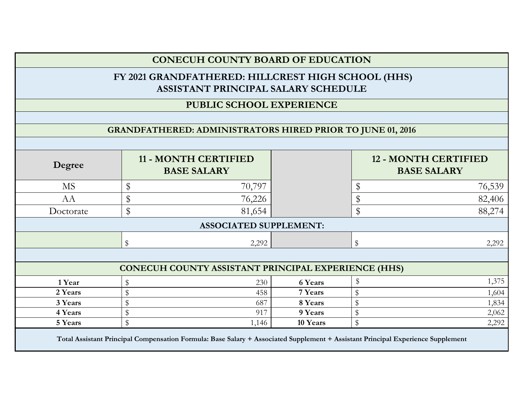|           |             | FY 2021 GRANDFATHERED: HILLCREST HIGH SCHOOL (HHS)<br>ASSISTANT PRINCIPAL SALARY SCHEDULE |          |                |                                                   |
|-----------|-------------|-------------------------------------------------------------------------------------------|----------|----------------|---------------------------------------------------|
|           |             | PUBLIC SCHOOL EXPERIENCE                                                                  |          |                |                                                   |
|           |             |                                                                                           |          |                |                                                   |
|           |             | <b>GRANDFATHERED: ADMINISTRATORS HIRED PRIOR TO JUNE 01, 2016</b>                         |          |                |                                                   |
|           |             |                                                                                           |          |                |                                                   |
| Degree    |             | <b>11 - MONTH CERTIFIED</b><br><b>BASE SALARY</b>                                         |          |                | <b>12 - MONTH CERTIFIED</b><br><b>BASE SALARY</b> |
| <b>MS</b> | \$          | 70,797                                                                                    |          | \$             | 76,539                                            |
| AA        | $\$\$       | 76,226                                                                                    |          | \$             | 82,406                                            |
| Doctorate | $\$\$       | 81,654                                                                                    |          | $\mathbf{\$\}$ | 88,274                                            |
|           |             | <b>ASSOCIATED SUPPLEMENT:</b>                                                             |          |                |                                                   |
|           | \$          | 2,292                                                                                     |          | \$             | 2,292                                             |
|           |             | CONECUH COUNTY ASSISTANT PRINCIPAL EXPERIENCE (HHS)                                       |          |                |                                                   |
| 1 Year    | \$          | 230                                                                                       | 6 Years  | \$             | 1,375                                             |
| 2 Years   | $\mathbb S$ | 458                                                                                       | 7 Years  | $\mathbb{S}$   | 1,604                                             |
| 3 Years   | $\$\$       | 687                                                                                       | 8 Years  | \$             | 1,834                                             |
| 4 Years   | \$          | 917                                                                                       | 9 Years  | \$             | 2,062                                             |
| 5 Years   | $\mathbb S$ | 1,146                                                                                     | 10 Years | $\mathbb S$    | 2,292                                             |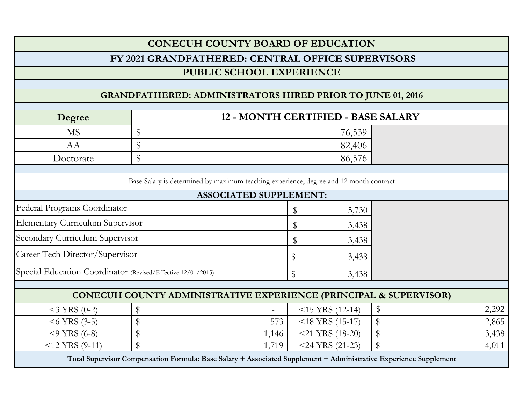|                                                                   | <b>CONECUH COUNTY BOARD OF EDUCATION</b>                                                                          |       |                    |       |       |  |  |  |  |  |  |  |  |
|-------------------------------------------------------------------|-------------------------------------------------------------------------------------------------------------------|-------|--------------------|-------|-------|--|--|--|--|--|--|--|--|
|                                                                   | FY 2021 GRANDFATHERED: CENTRAL OFFICE SUPERVISORS                                                                 |       |                    |       |       |  |  |  |  |  |  |  |  |
|                                                                   | PUBLIC SCHOOL EXPERIENCE                                                                                          |       |                    |       |       |  |  |  |  |  |  |  |  |
|                                                                   |                                                                                                                   |       |                    |       |       |  |  |  |  |  |  |  |  |
| <b>GRANDFATHERED: ADMINISTRATORS HIRED PRIOR TO JUNE 01, 2016</b> |                                                                                                                   |       |                    |       |       |  |  |  |  |  |  |  |  |
| 12 - MONTH CERTIFIED - BASE SALARY<br>Degree                      |                                                                                                                   |       |                    |       |       |  |  |  |  |  |  |  |  |
| <b>MS</b>                                                         | \$                                                                                                                |       | 76,539             |       |       |  |  |  |  |  |  |  |  |
| AA                                                                | \$                                                                                                                |       | 82,406             |       |       |  |  |  |  |  |  |  |  |
| Doctorate                                                         | \$                                                                                                                |       | 86,576             |       |       |  |  |  |  |  |  |  |  |
|                                                                   |                                                                                                                   |       |                    |       |       |  |  |  |  |  |  |  |  |
|                                                                   | Base Salary is determined by maximum teaching experience, degree and 12 month contract                            |       |                    |       |       |  |  |  |  |  |  |  |  |
|                                                                   | <b>ASSOCIATED SUPPLEMENT:</b>                                                                                     |       |                    |       |       |  |  |  |  |  |  |  |  |
| Federal Programs Coordinator                                      |                                                                                                                   |       | \$<br>5,730        |       |       |  |  |  |  |  |  |  |  |
| <b>Elementary Curriculum Supervisor</b>                           |                                                                                                                   |       | \$<br>3,438        |       |       |  |  |  |  |  |  |  |  |
| Secondary Curriculum Supervisor                                   |                                                                                                                   |       | \$<br>3,438        |       |       |  |  |  |  |  |  |  |  |
| Career Tech Director/Supervisor                                   |                                                                                                                   |       | \$<br>3,438        |       |       |  |  |  |  |  |  |  |  |
| Special Education Coordinator (Revised/Effective 12/01/2015)      |                                                                                                                   |       | \$<br>3,438        |       |       |  |  |  |  |  |  |  |  |
|                                                                   | CONECUH COUNTY ADMINISTRATIVE EXPERIENCE (PRINCIPAL & SUPERVISOR)                                                 |       |                    |       |       |  |  |  |  |  |  |  |  |
| $<$ 3 YRS (0-2)                                                   | \$                                                                                                                |       | $<$ 15 YRS (12-14) | \$    | 2,292 |  |  |  |  |  |  |  |  |
| $<$ 6 YRS (3-5)                                                   | \$                                                                                                                | 573   | $<$ 18 YRS (15-17) | \$    | 2,865 |  |  |  |  |  |  |  |  |
| $<$ 9 YRS (6-8)                                                   | \$                                                                                                                | 1,146 | $<$ 21 YRS (18-20) | $\$\$ | 3,438 |  |  |  |  |  |  |  |  |
| $<$ 12 YRS (9-11)                                                 | \$                                                                                                                | 1,719 | $<$ 24 YRS (21-23) | \$    | 4,011 |  |  |  |  |  |  |  |  |
|                                                                   | Total Supervisor Compensation Formula: Base Salary + Associated Supplement + Administrative Experience Supplement |       |                    |       |       |  |  |  |  |  |  |  |  |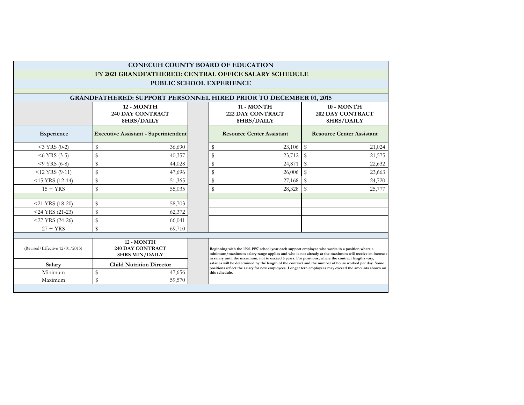|                                | <b>CONECUH COUNTY BOARD OF EDUCATION</b>                          |  |                |                                                                                                                                                                                                                                                                                                              |                                                     |        |  |  |  |  |  |
|--------------------------------|-------------------------------------------------------------------|--|----------------|--------------------------------------------------------------------------------------------------------------------------------------------------------------------------------------------------------------------------------------------------------------------------------------------------------------|-----------------------------------------------------|--------|--|--|--|--|--|
|                                | FY 2021 GRANDFATHERED: CENTRAL OFFICE SALARY SCHEDULE             |  |                |                                                                                                                                                                                                                                                                                                              |                                                     |        |  |  |  |  |  |
|                                | PUBLIC SCHOOL EXPERIENCE                                          |  |                |                                                                                                                                                                                                                                                                                                              |                                                     |        |  |  |  |  |  |
|                                |                                                                   |  |                |                                                                                                                                                                                                                                                                                                              |                                                     |        |  |  |  |  |  |
|                                | GRANDFATHERED: SUPPORT PERSONNEL HIRED PRIOR TO DECEMBER 01, 2015 |  |                |                                                                                                                                                                                                                                                                                                              |                                                     |        |  |  |  |  |  |
|                                | 12 - MONTH<br><b>240 DAY CONTRACT</b><br>8HRS/DAILY               |  |                | 11 - MONTH<br><b>222 DAY CONTRACT</b><br>8HRS/DAILY                                                                                                                                                                                                                                                          | 10 - MONTH<br><b>202 DAY CONTRACT</b><br>8HRS/DAILY |        |  |  |  |  |  |
| Experience                     | <b>Executive Assistant - Superintendent</b>                       |  |                | <b>Resource Center Assistant</b>                                                                                                                                                                                                                                                                             | <b>Resource Center Assistant</b>                    |        |  |  |  |  |  |
| $<$ 3 YRS (0-2)                | \$<br>36,690                                                      |  | \$             | 23,106                                                                                                                                                                                                                                                                                                       | \$                                                  | 21,024 |  |  |  |  |  |
| $<$ 6 YRS (3-5)                | $\mathbb{S}$<br>40,357                                            |  | $\mathbb S$    | 23,712                                                                                                                                                                                                                                                                                                       | \$                                                  | 21,575 |  |  |  |  |  |
| $<$ 9 YRS (6-8)                | \$<br>44,028                                                      |  | \$             | 24,871                                                                                                                                                                                                                                                                                                       | $\mathbb S$                                         | 22,632 |  |  |  |  |  |
| $<$ 12 YRS (9-11)              | $\mathbb{S}$<br>47,696                                            |  | ${\mathbb S}$  | 26,006                                                                                                                                                                                                                                                                                                       | $\mathbf S$                                         | 23,663 |  |  |  |  |  |
| $<$ 15 YRS (12-14)             | \$<br>51,365                                                      |  | ${\mathbb S}$  | 27,168                                                                                                                                                                                                                                                                                                       | ${\mathbb S}$                                       | 24,720 |  |  |  |  |  |
| $15 + YRS$                     | \$<br>55,035                                                      |  | $\mathfrak{S}$ | 28,328                                                                                                                                                                                                                                                                                                       | $\mathbf S$                                         | 25,777 |  |  |  |  |  |
|                                |                                                                   |  |                |                                                                                                                                                                                                                                                                                                              |                                                     |        |  |  |  |  |  |
| $<$ 21 YRS (18-20)             | \$<br>58,703                                                      |  |                |                                                                                                                                                                                                                                                                                                              |                                                     |        |  |  |  |  |  |
| $<$ 24 YRS (21-23)             | \$<br>62,372                                                      |  |                |                                                                                                                                                                                                                                                                                                              |                                                     |        |  |  |  |  |  |
| $<$ 27 YRS (24-26)             | \$<br>66,041                                                      |  |                |                                                                                                                                                                                                                                                                                                              |                                                     |        |  |  |  |  |  |
| $27 + YRS$                     | \$<br>69,710                                                      |  |                |                                                                                                                                                                                                                                                                                                              |                                                     |        |  |  |  |  |  |
|                                |                                                                   |  |                |                                                                                                                                                                                                                                                                                                              |                                                     |        |  |  |  |  |  |
| (Revised/Effective 12/01/2015) | 12 - MONTH<br><b>240 DAY CONTRACT</b><br><b>8HRS MIN/DAILY</b>    |  |                | Beginning with the 1996-1997 school year each support employee who works in a position where a<br>minimum/maximum salary range applies and who is not already at the maximum will receive an increase<br>in salary until the maximum, not to exceed 5 years. For positions, where the contract lengths vary, |                                                     |        |  |  |  |  |  |
| Salary                         | <b>Child Nutrition Director</b>                                   |  |                | salaries will be determined by the length of the contract and the number of hours worked per day. Some<br>positions reflect the salary for new employees. Longer tern employees may exceed the amounts shown on                                                                                              |                                                     |        |  |  |  |  |  |
| Minimum                        | \$<br>47,656                                                      |  | this schedule. |                                                                                                                                                                                                                                                                                                              |                                                     |        |  |  |  |  |  |
| Maximum                        | $\mathbb{S}$<br>59,570                                            |  |                |                                                                                                                                                                                                                                                                                                              |                                                     |        |  |  |  |  |  |
|                                |                                                                   |  |                |                                                                                                                                                                                                                                                                                                              |                                                     |        |  |  |  |  |  |

т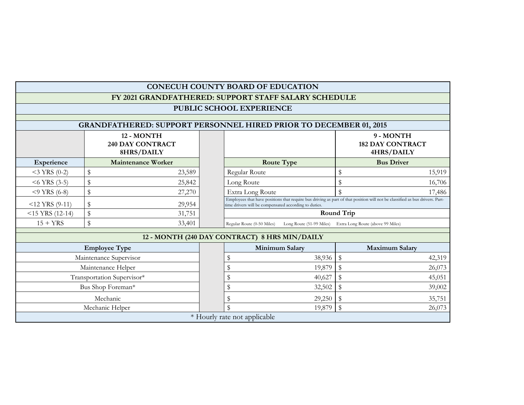|                                                                   |                                                      |  | CONECUH COUNTY BOARD OF EDUCATION                                                                                                                                                     |        |                                                            |        |  |  |  |  |  |  |
|-------------------------------------------------------------------|------------------------------------------------------|--|---------------------------------------------------------------------------------------------------------------------------------------------------------------------------------------|--------|------------------------------------------------------------|--------|--|--|--|--|--|--|
|                                                                   | FY 2021 GRANDFATHERED: SUPPORT STAFF SALARY SCHEDULE |  |                                                                                                                                                                                       |        |                                                            |        |  |  |  |  |  |  |
|                                                                   | PUBLIC SCHOOL EXPERIENCE                             |  |                                                                                                                                                                                       |        |                                                            |        |  |  |  |  |  |  |
| GRANDFATHERED: SUPPORT PERSONNEL HIRED PRIOR TO DECEMBER 01, 2015 |                                                      |  |                                                                                                                                                                                       |        |                                                            |        |  |  |  |  |  |  |
|                                                                   | 12 - MONTH<br><b>240 DAY CONTRACT</b><br>8HRS/DAILY  |  |                                                                                                                                                                                       |        | 9 - MONTH<br><b>182 DAY CONTRACT</b><br>4HRS/DAILY         |        |  |  |  |  |  |  |
| Experience                                                        | <b>Maintenance Worker</b>                            |  | <b>Route Type</b>                                                                                                                                                                     |        | <b>Bus Driver</b>                                          |        |  |  |  |  |  |  |
| $<$ 3 YRS (0-2)                                                   | \$<br>23,589                                         |  | Regular Route                                                                                                                                                                         |        | \$                                                         | 15,919 |  |  |  |  |  |  |
| $<$ 6 YRS (3-5)                                                   | \$<br>25,842                                         |  | Long Route                                                                                                                                                                            |        | \$                                                         | 16,706 |  |  |  |  |  |  |
| $<$ 9 YRS (6-8)                                                   | \$<br>27,270                                         |  | Extra Long Route                                                                                                                                                                      |        | $\mathcal{S}$                                              | 17,486 |  |  |  |  |  |  |
| $<$ 12 YRS (9-11)                                                 | \$<br>29,954                                         |  | Employees that have positions that require bus driving as part of that position will not be classified as bus drivers. Part-<br>time drivers will be compensated according to duties. |        |                                                            |        |  |  |  |  |  |  |
| $<$ 15 YRS (12-14)                                                | \$<br>31,751                                         |  |                                                                                                                                                                                       |        | Round Trip                                                 |        |  |  |  |  |  |  |
| $15 + YRS$                                                        | \$<br>33,401                                         |  | Regular Route (0-50 Miles)                                                                                                                                                            |        | Long Route (51-99 Miles) Extra Long Route (above 99 Miles) |        |  |  |  |  |  |  |
|                                                                   |                                                      |  | 12 - MONTH (240 DAY CONTRACT) 8 HRS MIN/DAILY                                                                                                                                         |        |                                                            |        |  |  |  |  |  |  |
|                                                                   | <b>Employee Type</b>                                 |  | Minimum Salary                                                                                                                                                                        |        | <b>Maximum Salary</b>                                      |        |  |  |  |  |  |  |
|                                                                   | Maintenance Supervisor                               |  | \$                                                                                                                                                                                    | 38,936 | $\$\,$                                                     | 42,319 |  |  |  |  |  |  |
|                                                                   | Maintenance Helper                                   |  | \$                                                                                                                                                                                    | 19,879 | \$                                                         | 26,073 |  |  |  |  |  |  |
|                                                                   | Transportation Supervisor*                           |  | \$                                                                                                                                                                                    | 40,627 | \$                                                         | 45,051 |  |  |  |  |  |  |
|                                                                   | Bus Shop Foreman*                                    |  | \$                                                                                                                                                                                    | 32,502 | \$                                                         | 39,002 |  |  |  |  |  |  |
|                                                                   | Mechanic                                             |  | S                                                                                                                                                                                     | 29,250 | \$                                                         | 35,751 |  |  |  |  |  |  |
|                                                                   | Mechanic Helper                                      |  | $\mathbf{\$}$                                                                                                                                                                         | 19,879 | $\$\$                                                      | 26,073 |  |  |  |  |  |  |
|                                                                   |                                                      |  | * Hourly rate not applicable                                                                                                                                                          |        |                                                            |        |  |  |  |  |  |  |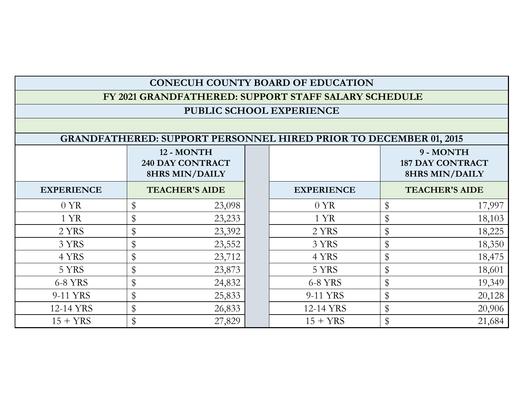# **CONECUH COUNTY BOARD OF EDUCATION**

#### **FY 2021 GRANDFATHERED: SUPPORT STAFF SALARY SCHEDULE**

#### **PUBLIC SCHOOL EXPERIENCE**

## **GRANDFATHERED: SUPPORT PERSONNEL HIRED PRIOR TO DECEMBER 01, 2015**

|                   |              | 12 - MONTH<br><b>240 DAY CONTRACT</b><br><b>8HRS MIN/DAILY</b> |                   | 9 - MONTH<br><b>187 DAY CONTRACT</b><br><b>8HRS MIN/DAILY</b> |
|-------------------|--------------|----------------------------------------------------------------|-------------------|---------------------------------------------------------------|
| <b>EXPERIENCE</b> |              | <b>TEACHER'S AIDE</b>                                          | <b>EXPERIENCE</b> | <b>TEACHER'S AIDE</b>                                         |
| $0 \text{ } YR$   | \$           | 23,098                                                         | $0 \text{ YR}$    | 17,997                                                        |
| 1 YR              | \$           | 23,233                                                         | 1 YR              | 18,103                                                        |
| 2 YRS             | \$           | 23,392                                                         | 2 YRS             | 18,225                                                        |
| 3 YRS             | \$           | 23,552                                                         | 3 YRS             | 18,350                                                        |
| 4 YRS             | \$           | 23,712                                                         | 4 YRS             | 18,475                                                        |
| 5 YRS             | $\mathbb{S}$ | 23,873                                                         | 5 YRS             | 18,601                                                        |
| 6-8 YRS           | \$           | 24,832                                                         | 6-8 YRS           | 19,349                                                        |
| 9-11 YRS          | \$           | 25,833                                                         | 9-11 YRS          | 20,128                                                        |
| 12-14 YRS         | \$           | 26,833                                                         | 12-14 YRS         | 20,906                                                        |
| $15 + YRS$        |              | 27,829                                                         | $15 + YRS$        | 21,684                                                        |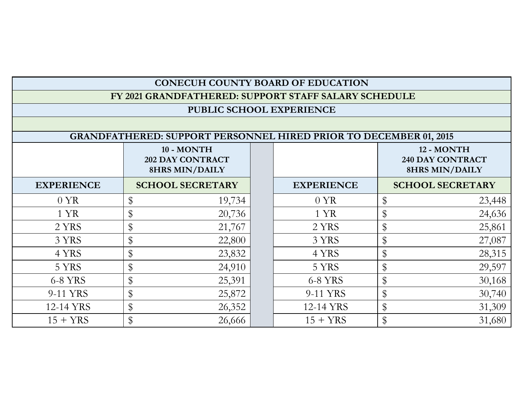| <b>CONECUH COUNTY BOARD OF EDUCATION</b> |  |
|------------------------------------------|--|
|------------------------------------------|--|

 **FY 2021 GRANDFATHERED: SUPPORT STAFF SALARY SCHEDULE**

## **PUBLIC SCHOOL EXPERIENCE**

| <b>GRANDFATHERED: SUPPORT PERSONNEL HIRED PRIOR TO DECEMBER 01, 2015</b> |                            |        |  |                   |       |                         |  |
|--------------------------------------------------------------------------|----------------------------|--------|--|-------------------|-------|-------------------------|--|
|                                                                          | 10 - MONTH                 |        |  |                   |       | 12 - MONTH              |  |
|                                                                          | <b>202 DAY CONTRACT</b>    |        |  |                   |       | <b>240 DAY CONTRACT</b> |  |
|                                                                          | <b>8HRS MIN/DAILY</b>      |        |  |                   |       | <b>8HRS MIN/DAILY</b>   |  |
| <b>EXPERIENCE</b>                                                        | <b>SCHOOL SECRETARY</b>    |        |  | <b>EXPERIENCE</b> |       | <b>SCHOOL SECRETARY</b> |  |
| 0 YR                                                                     | \$                         | 19,734 |  | $0 \text{ YR}$    | \$    | 23,448                  |  |
| 1 YR                                                                     | \$                         | 20,736 |  | 1 YR              | \$    | 24,636                  |  |
| 2 YRS                                                                    | \$                         | 21,767 |  | 2 YRS             | \$    | 25,861                  |  |
| 3 YRS                                                                    | \$                         | 22,800 |  | 3 YRS             | \$    | 27,087                  |  |
| 4 YRS                                                                    | \$                         | 23,832 |  | 4 YRS             | \$    | 28,315                  |  |
| 5 YRS                                                                    | $\boldsymbol{\mathsf{\$}}$ | 24,910 |  | 5 YRS             | \$    | 29,597                  |  |
| 6-8 YRS                                                                  | \$                         | 25,391 |  | 6-8 YRS           | \$    | 30,168                  |  |
| 9-11 YRS                                                                 | \$                         | 25,872 |  | 9-11 YRS          | $\$\$ | 30,740                  |  |
| 12-14 YRS                                                                | \$                         | 26,352 |  | 12-14 YRS         | \$    | 31,309                  |  |
| $15 + YRS$                                                               |                            | 26,666 |  | $15 + YRS$        | \$    | 31,680                  |  |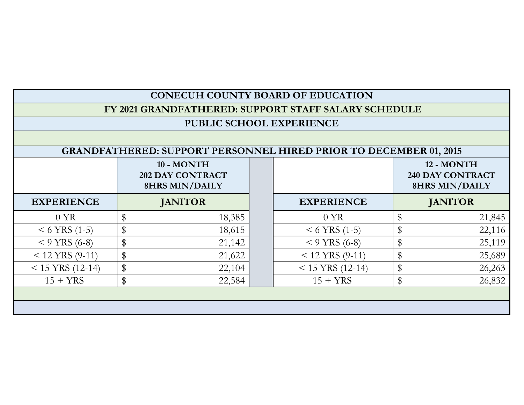| <b>CONECUH COUNTY BOARD OF EDUCATION</b>                                 |                                                                |  |                    |    |                                                                |  |  |  |
|--------------------------------------------------------------------------|----------------------------------------------------------------|--|--------------------|----|----------------------------------------------------------------|--|--|--|
| FY 2021 GRANDFATHERED: SUPPORT STAFF SALARY SCHEDULE                     |                                                                |  |                    |    |                                                                |  |  |  |
| PUBLIC SCHOOL EXPERIENCE                                                 |                                                                |  |                    |    |                                                                |  |  |  |
|                                                                          |                                                                |  |                    |    |                                                                |  |  |  |
| <b>GRANDFATHERED: SUPPORT PERSONNEL HIRED PRIOR TO DECEMBER 01, 2015</b> |                                                                |  |                    |    |                                                                |  |  |  |
|                                                                          | 10 - MONTH<br><b>202 DAY CONTRACT</b><br><b>8HRS MIN/DAILY</b> |  |                    |    | 12 - MONTH<br><b>240 DAY CONTRACT</b><br><b>8HRS MIN/DAILY</b> |  |  |  |
| <b>EXPERIENCE</b>                                                        | <b>JANITOR</b>                                                 |  | <b>EXPERIENCE</b>  |    | <b>JANITOR</b>                                                 |  |  |  |
| $0 \text{ YR}$                                                           | \$<br>18,385                                                   |  | 0 YR               | \$ | 21,845                                                         |  |  |  |
| $<$ 6 YRS (1-5)                                                          | \$<br>18,615                                                   |  | $<$ 6 YRS (1-5)    | \$ | 22,116                                                         |  |  |  |
| $<$ 9 YRS (6-8)                                                          | \$<br>21,142                                                   |  | $<$ 9 YRS (6-8)    | \$ | 25,119                                                         |  |  |  |
| $<$ 12 YRS (9-11)                                                        | \$<br>21,622                                                   |  | $<$ 12 YRS (9-11)  | \$ | 25,689                                                         |  |  |  |
| $< 15$ YRS (12-14)                                                       | \$<br>22,104                                                   |  | $< 15$ YRS (12-14) | \$ | 26,263                                                         |  |  |  |
| $15 + YRS$                                                               | \$<br>22,584                                                   |  | $15 + YRS$         | \$ | 26,832                                                         |  |  |  |
|                                                                          |                                                                |  |                    |    |                                                                |  |  |  |
|                                                                          |                                                                |  |                    |    |                                                                |  |  |  |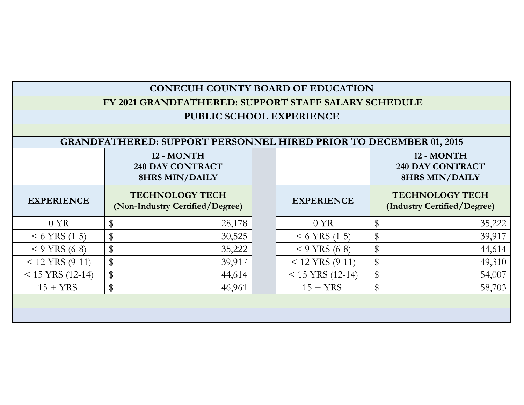| <b>CONECUH COUNTY BOARD OF EDUCATION</b>                                 |                                                                |                                                           |  |                    |               |                                                                |  |  |
|--------------------------------------------------------------------------|----------------------------------------------------------------|-----------------------------------------------------------|--|--------------------|---------------|----------------------------------------------------------------|--|--|
| FY 2021 GRANDFATHERED: SUPPORT STAFF SALARY SCHEDULE                     |                                                                |                                                           |  |                    |               |                                                                |  |  |
| PUBLIC SCHOOL EXPERIENCE                                                 |                                                                |                                                           |  |                    |               |                                                                |  |  |
|                                                                          |                                                                |                                                           |  |                    |               |                                                                |  |  |
| <b>GRANDFATHERED: SUPPORT PERSONNEL HIRED PRIOR TO DECEMBER 01, 2015</b> |                                                                |                                                           |  |                    |               |                                                                |  |  |
|                                                                          | 12 - MONTH<br><b>240 DAY CONTRACT</b><br><b>8HRS MIN/DAILY</b> |                                                           |  |                    |               | 12 - MONTH<br><b>240 DAY CONTRACT</b><br><b>8HRS MIN/DAILY</b> |  |  |
| <b>EXPERIENCE</b>                                                        |                                                                | <b>TECHNOLOGY TECH</b><br>(Non-Industry Certified/Degree) |  | <b>EXPERIENCE</b>  |               | <b>TECHNOLOGY TECH</b><br>(Industry Certified/Degree)          |  |  |
| 0 YR                                                                     | $\$\$                                                          | 28,178                                                    |  | 0 YR               | \$            | 35,222                                                         |  |  |
| $<$ 6 YRS (1-5)                                                          | $\$\$                                                          | 30,525                                                    |  | $<$ 6 YRS (1-5)    | \$            | 39,917                                                         |  |  |
| $<$ 9 YRS (6-8)                                                          | $\,$                                                           | 35,222                                                    |  | $<$ 9 YRS (6-8)    | \$            | 44,614                                                         |  |  |
| $< 12$ YRS (9-11)                                                        | $\,$                                                           | 39,917                                                    |  | $< 12$ YRS (9-11)  | \$            | 49,310                                                         |  |  |
| $< 15$ YRS (12-14)                                                       | $\,$                                                           | 44,614                                                    |  | $< 15$ YRS (12-14) | $\frac{1}{2}$ | 54,007                                                         |  |  |
| $15 + YRS$                                                               | \$                                                             | 46,961                                                    |  | $15 + YRS$         | $\frac{1}{2}$ | 58,703                                                         |  |  |
|                                                                          |                                                                |                                                           |  |                    |               |                                                                |  |  |
|                                                                          |                                                                |                                                           |  |                    |               |                                                                |  |  |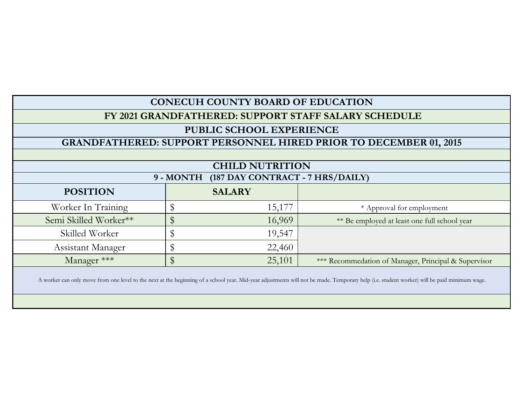| <b>CONECUH COUNTY BOARD OF EDUCATION</b>                                 |                        |                                                      |  |  |  |  |  |  |
|--------------------------------------------------------------------------|------------------------|------------------------------------------------------|--|--|--|--|--|--|
| FY 2021 GRANDFATHERED: SUPPORT STAFF SALARY SCHEDULE                     |                        |                                                      |  |  |  |  |  |  |
| PUBLIC SCHOOL EXPERIENCE                                                 |                        |                                                      |  |  |  |  |  |  |
| <b>GRANDFATHERED: SUPPORT PERSONNEL HIRED PRIOR TO DECEMBER 01, 2015</b> |                        |                                                      |  |  |  |  |  |  |
|                                                                          |                        |                                                      |  |  |  |  |  |  |
|                                                                          | <b>CHILD NUTRITION</b> |                                                      |  |  |  |  |  |  |
| (187 DAY CONTRACT - 7 HRS/DAILY)<br>9 - MONTH                            |                        |                                                      |  |  |  |  |  |  |
| <b>POSITION</b>                                                          | <b>SALARY</b>          |                                                      |  |  |  |  |  |  |
| Worker In Training                                                       | 15,177<br>J            | * Approval for employment                            |  |  |  |  |  |  |
| Semi Skilled Worker**                                                    | \$<br>16,969           | ** Be employed at least one full school year         |  |  |  |  |  |  |
| Skilled Worker                                                           | 19,547<br>\$           |                                                      |  |  |  |  |  |  |
| Assistant Manager                                                        | \$<br>22,460           |                                                      |  |  |  |  |  |  |
| Manager ***                                                              | \$<br>25,101           | *** Recommedation of Manager, Principal & Supervisor |  |  |  |  |  |  |
|                                                                          |                        |                                                      |  |  |  |  |  |  |

A worker can only move from one level to the next at the beginning of a school year. Mid-year adjustments will not be made. Temporary help (i.e. student worker) will be paid minimum wage.